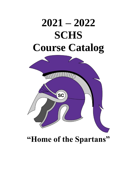# **2021 – 2022 SCHS Course Catalog**



## **"Home of the Spartans"**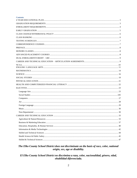#### **Contents**

| 33 |
|----|
|    |
|    |
|    |
|    |
|    |
|    |

#### The Elko County School District does not discriminate on the basis of race, color, national origin, sex, age or disability.

#### El Elko County School District no discrimina a raza, color, nacionalidad, género, edad, ohabilidad diferenciada.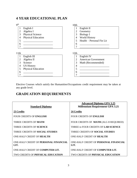## <span id="page-2-0"></span>**4 YEAR EDUCATIONAL PLAN**

#### 9 th

|                | English I                 |
|----------------|---------------------------|
| $\overline{2}$ | Algebra I                 |
| 3              | <b>Physical Science</b>   |
| 4              | <b>Physical Education</b> |
| 5              |                           |
|                |                           |

- $6$   $\qquad$
- 7 \_\_\_\_\_\_\_\_\_\_\_\_\_\_\_\_\_\_\_\_\_\_

#### 11th

- 1 English III
- 2 Algebra II
- 3 Science
- 4 US History
- 
- 10th
	- 1 English II
	- 2 Geometry
	- 3 Biology I
	- 4 World History
	- 5 Health Personal Fin Lit

 $6$   $\qquad$ 7 \_\_\_\_\_\_\_\_\_\_\_\_\_\_\_\_\_\_\_\_\_\_

#### 12th

- 1 English IV
- 2 American Government
- 3 Math (Recommended)  $\begin{array}{c}\n4 \\
5\n\end{array}$
- 
- 5 Physical Education
- $6$
- 7 \_\_\_\_\_\_\_\_\_\_\_\_\_\_\_\_\_\_\_\_\_\_

 $\begin{array}{c}\n6 \\
7\n\end{array}$ 7 \_\_\_\_\_\_\_\_\_\_\_\_\_\_\_\_\_\_\_\_\_\_

Elective Courses which satisfy the Humanities/Occupations credit requirement may be taken at any grade level.

## <span id="page-2-1"></span>**GRADUATION REQUIREMENTS**

<span id="page-2-2"></span>

| <b>Standard Diploma</b>                       | <b>Advanced Diploma GPA 3.25</b><br><b>Millennium Requirement GPA 3.25</b> |
|-----------------------------------------------|----------------------------------------------------------------------------|
| 23 Credits                                    | 24 Credits                                                                 |
| FOUR CREDITS OF ENGLISH                       | <b>FOUR CREDITS OF ENGLISH</b>                                             |
| THREE CREDITS OF MATH                         | FOUR CREDITS OF MATH (ALG II REQUIRED)                                     |
| <b>THREE CREDITS OF SCIENCE</b>               | THREE to FOUR CREDITS OF LAB SCIENCE                                       |
| THREE CREDITS OF SOCIAL STUDIES               | <b>THREE CREDITS OF SOCIAL STUDIES</b>                                     |
| ONE-HALF CREDIT OF HEALTH                     | <b>ONE-HALF CREDIT OF HEALTH</b>                                           |
| ONE-HALF CREDIT OF PERSONAL FINANCIAL<br>LIT. | ONE-HALF CREDIT OF PERSONAL FINANCIAL<br>LIT.                              |
| ONE-HALF CREDIT OF COMPUTER LIT.              | ONE-HALF CREDIT OF COMPUTER LIT.                                           |
| <b>TWO CREDITS OF PHYSICAL EDUCATION</b>      | <b>TWO CREDITS OF PHYSICAL EDUCATION</b>                                   |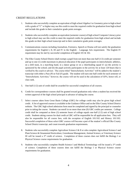#### CREDIT REGULATIONS

- 1. Students who successfully complete an equivalent of high school Algebra I or Geometry prior to high school with a grade of "C" or higher may use this credit to meet the required credits for graduation from high school and include this grade in their cumulative grade point averages.
- 2. Students who successfully complete an equivalent (semester course) of high school Computer Literacy prior to high school may use this credit to meet the required credits for graduation from high school and include this grade on their high school transcript and in their cumulative grade point averages.
- 3. Communications courses including Journalism, Forensics, Speech or Drama will not satisfy the graduation requirements for English I, II, III and IV in the English – Language Arts requirement. The English IV requirement may be met by successful completion of English 101 & 102.
- 4. The Elko County School District shall exempt a pupil from not more than one-half (1/2) credit per semester and up to one (1) credit maximum in physical education if the pupil participates in interscholastic athletics, on a drill team, in a marching band, in a dance group or on a cheerleading squad if: (a) the activity is sponsored by the school; and (b) the pupil actively participates in the activity for at least 120 hours that is verified by the coach or advisor. The course titled "Interscholastic Activities" will be added to the student's transcript with either a Pass (P) or Fail (F) grade. The student will earn one-half credit for each semester of "Interscholastic Activities;" however, the course will not be used in the calculation of GPA, honor roll, or class rank.
- 5. One-half (1/2) unit of credit shall be awarded for successful completion of all courses.
- 6. Credit for correspondence courses shall be granted toward graduation only when a student has received the written approval of the high school principal in advance of taking the course.
- 7. Select courses taken from Great Basin College (GBC) for college credit may also be given high school credit. A list of approved courses is available in the Guidance Office and on the Elko County School District website. The GBC high school admission form must be completed and signed by the principal or counselor prior to taking the course. Students can enroll in no more than nine (9) GBC credits per semester. College credit shall be computed as three (3) semester hours of college equals one-half (1/2) unit of high school credit. Students taking courses for dual credit at GBC will be responsible for all application fees. They will also be responsible for all course fees, with the exception of English 101/102 and History 101/102. Successful completion of these select GBC courses will become a part of the student's official Elko County School District transcript, and count towards graduation requirements.
- 8. Students who successfully complete Agriculture Science I & II or who complete Agricultural Science I and Plant Science & Ornamental Horticulture, Greenhouse Management, Animal Science, or Veterinary Science III will be issued a  $3<sup>rd</sup>$  credit of science. Completion of these courses does not fulfill the Biology I or Physical Science course requirements for graduation.
- 9. Students who successfully complete Health Science I and Medical Terminology will be issued a  $3<sup>rd</sup>$  credit of science. Completion of these courses does not fulfill the Biology I or Physical Science course requirements for graduation.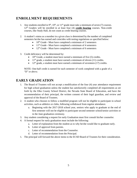## **ENROLLMENT REQUIREMENTS**

- 1. Any students enrolled in 9<sup>th</sup>, 10<sup>th</sup>, or 11<sup>th</sup> grade must take a minimum of seven (7) courses. 12th Graders will be enrolled in at least four (4) **credit bearing** courses. Non-credit courses, like Study Hall, do not count as credit bearing courses.
- 2. A student's status as a member in a given class is determined by the number of completed semesters he/she has earned and coincides with testing regulations as specified below:
	- $10^{th}$  Grade Must have completed a minimum of 2 semesters
	- $11<sup>th</sup>$  Grade Must have completed a minimum of 4 semesters
	- $12<sup>th</sup>$  Grade Must have completed a minimum of 6 semesters
- 3. Credit deficiency will be determined by:
	- $10<sup>th</sup>$  Grade, a student must have earned a minimum of five (5) credits.
	- 11<sup>th</sup> grade, a student must have earned a minimum of eleven  $(11)$  credits.
	- 12<sup>th</sup> grade, a student must have earned a minimum of seventeen (17) credits.

NOTE: One-half credit is earned for each semester of work completed with a grade of a "D" or above.

## <span id="page-4-0"></span>**EARLY GRADUATION**

- 1. The Board of Trustees will not accept a modification of the four (4) year attendance requirement for high school graduation unless the student has satisfactorily completed all requirements as set forth by the Elko County School District, the Nevada State Board of Education, and have the recommendation of their principal, the written consent of their legal guardian, and review and approval of the Board of Trustees.
- 2. A student who chooses to follow a modified program will not be eligible to participate in school activities, such as athletics or clubs, following withdrawal from regular attendance.
	- a. Beginning with the 2017-2018 school year, seniors who apply to graduate at the end of first semester will not be eligible to participate second semester school/senior activities or in the June graduation ceremony.
- 3. Any student considering a request for early Graduation must first consult his/her counselor.
- 4. A formal request for early graduation must include the following:
	- a. Letter of explanation from the student as to why he/she would like to graduate early.
	- b. Letter of approval from parents.
	- c. Letter of recommendation from the Counselor.
	- d. Letter of recommendation from the Principal.
- <span id="page-4-1"></span>5. The principal will forward the above items to the ECSD Board of Trustees for their consideration.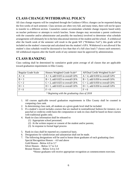## **CLASS CHANGE/WITHDRAWAL POLICY**

All class change requests will be completed through the Guidance Office; changes can be requested during the first weeks of each semester. Class sections are often very full, and many times, there will not be space to transfer to a different section. Counselors cannot accommodate schedule change requests based solely on teacher preference or attempts to switch lunches. Some changes may necessitate a parent conference with the counselor and/or administrator and possibly the teacher(s) involved to determine what schedule arrangements will ultimately be in the best educational interests of the student and the school. A withdrawal after the fourth week of the semester will result in the grade WF ("Withdraw Fail"); this grade will be included on the student's transcript and calculated into the student's GPA. Withdrawal is not allowed if the student's class schedule would be decreased to less than that of a full class load (7 classes each semester). All withdrawal requests after the fourth week of any semester must be approved by administration.

## <span id="page-5-0"></span>**CLASS RANKING**

| Regular Grade Scale                           | Honors Weighted Grade Scale*       | AP/Dual Credit Weighted Scale*     |
|-----------------------------------------------|------------------------------------|------------------------------------|
| $A = 4$                                       | $A = 4$ , add 0.025 to overall GPA | $A = 4$ , add 0.050 to overall GPA |
| $B = 3$                                       | $B = 3$ , add 0.025 to overall GPA | $B = 3$ , add 0.050 to overall GPA |
| $C = 2$                                       | $C = 2$ , add 0.025 to overall GPA | $C = 2$ , add 0.050 to overall GPA |
| $D=1$                                         | $D = 1$ , add 0.025 to overall GPA | $D = 1$ , add 0.050 to overall GPA |
| $F = 0$                                       | $F = 0$                            | $F = 0$                            |
| * Beginning with the graduating class of 2018 |                                    |                                    |

Class ranking shall be determined by cumulative grade point average of all classes that are applicable toward graduation requirements in Elko County.

- 1. All courses applicable toward graduation requirements in Elko County shall be counted in computing class rank.
- 2. In determining class rank, all students at a given grade level shall be included.
- 3. If a student's record includes courses that are marked in nontraditional fashion-for instance, on a pass/fail or credit/no credit basis-the computation or rank-in-class shall be based on those courses with traditional grades only.
- 4. Rank-in-class information shall be released to:
	- (1) Appropriate school personnel;
	- (2) At the written request or consent of the student and/or parents;
	- (3) In response to formal legal process
- 5. Rank-in-class shall be reported on a numerical basis.
- 6. Designations for valedictorian and salutatorian shall not be made.
- 7. The following designations will be used to honor those graduates of each graduating class: Special Recognition Honors – 4.0 and above Gold Honors - Below 4.0 to 3.7
	- Silver Honors Below 3.7 to 3.4
	- Bronze Honors Below 3.4 to 3.0

\*Honor graduates will receive appropriate recognition at commencement exercises.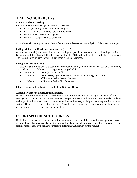## <span id="page-6-0"></span>**TESTING SCHEDULES**

#### **State-Mandated Testing**

End of Course Assessments (EOCs) for ELA, MATH

- ELA I (Reading) incorporated into English II
- ELA II (Writing) incorporated into English II
- Math I incorporated into Algebra I
- Math  $II$  incorporated into Geometry

All students will participate in the Nevada State Science Assessment in the Spring of their sophomore year.

#### **College & Career Readiness Assessment (CCRA)**

All students in their junior year of high school will participate in an assessment of their college readiness. Beginning with the class of 2015, this exam will be the ACT, to be administered in the Spring semester. The assessment to be used for subsequent years is to be determined.

#### **College Entrance Exams**

An essential part of a student's preparation for college is taking the entrance exams. We offer the PSAT, SAT and ACT. The following is a suggested testing schedule:

- $10<sup>th</sup>$  Grade PSAT (Practice) Fall
- 11<sup>th</sup> Grade PSAT/NMSQT (National Merit Scholastic Qualifying Test) Fall ACT and/or SAT – Second Semester
- $12<sup>th</sup>$  Grade ACT and/or SAT First Semester

Information on College Testing is available in Guidance Office.

#### **Armed Services Vocational Aptitude Battery**

We also offer the Armed Services Vocational Aptitude Battery (ASVAB) during a student's 11<sup>th</sup> and 12<sup>th</sup> grade years. While this test can be used to determine qualification for enlistment, it is not limited to students seeking to join the armed forces. It is a valuable interest inventory to help students explore future career options. The test is typically offered in early December, and students who participate may attend a score interpretation meeting after results are available.

## <span id="page-6-1"></span>**CORRESPONDENCE COURSES**

<span id="page-6-2"></span>Credit for correspondence courses or on-line alternative courses shall be granted toward graduation only when a student has received the written approval of the principal in advance of taking the course. The student must consult with his/her counselor to determine justification for the request.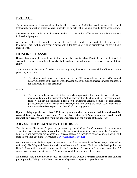## **PREFACE**

This manual contains all courses planned to be offered during the 2020-20201 academic year. It is hoped that with the publication of this material, students will be better able to plan a sound educational program.

Some courses found in this manual are contained to see if demand is sufficient to warrant their placement in the school program.

All courses are designated as full year or semester long. Full year classes are worth 1 credit and semester long courses are worth  $\frac{1}{2}$  of a credit. Courses with a designation of 1<sup>st</sup> or 2<sup>nd</sup> semester will be offered only that semester.

## <span id="page-7-0"></span>**HONORS CLASSES**

Honors classes were placed in the curriculum by the Elko County School District because we believe that accelerated students should be adequately challenged and allowed to proceed at a pace equal with their ability.

To assure proper placement of students in these programs, the district has adopted the following criteria governing admission:

1. The student shall have scored at or above the  $90<sup>th</sup>$  percentile on the district's adopted achievement tests in the year prior to admission and in the curriculum area in which application for the honors class has been made.

And/Or

2. The teacher in the selected discipline area where application for honors is made shall make recommendation to the principal regarding placement of the student at the succeeding grade level. Nothing in this section should prohibit the transfer of a student from or to honors classes, per recommendation of the student's teacher, at any time during the school year. Transfers of this nature should correspond with the end of a grading period.

**Upon receiving a grade lower than "B" in any grading period, the student shall be considered for removal from the honors program. A grade lower than a "C", as a semester grade, shall automatically remove a student from the honors program at the change of the semester.**

## <span id="page-7-1"></span>**ADVANCED PLACEMENT COURSES**

The Advanced Placement Program is sponsored by the *College Board*, a non-profit membership association. AP courses and exams are for highly motivated students in secondary schools. Attendance, homework, and motivation are mandatory for success as these are considered college courses. You will find more information about the AP Program at [www.collegeboard.com/ap.](http://www.collegeboard.com/ap)

**AP Courses** are available at Spring Creek High School in the areas listed below (only if demand is sufficient). The Weighted Grade Scale will be utilized for AP courses. Each course is developed by the College Board with a committee composed of college faculty and AP teachers. The primary goal of all AP courses is to prepare students for the AP course exam and the rigors of a college class.

**AP Exams**: There is a required course fee (determined by the College Board) **for each AP exam a student participates in.** Taking the AP Exam may earn college credit, depending upon the score.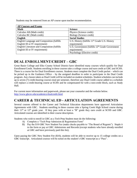Students may be removed from an AP course upon teacher recommendation.

| <b>AP Courses and Exams</b>                  |                                                             |
|----------------------------------------------|-------------------------------------------------------------|
| <b>Math</b>                                  | <b>Science</b>                                              |
| Calculus AB (Math credit)                    | Physics (Science credit)                                    |
| Calculus BC (Math credit)                    | Biology (Science credit)                                    |
| <b>English</b>                               | <b>Social Studies</b>                                       |
| English Language and Composition (fulfills)  | U.S. History (fulfills $11th$ Grade U.S. History            |
| English III or IV requirement)               | requirement)                                                |
| English Literature and Composition (fulfills | U.S. Government (fulfills 12 <sup>th</sup> Grade Government |
| English III or IV requirement)               | requirement)                                                |
|                                              | Psychology (Elective credit)                                |

## <span id="page-8-0"></span>**DUAL ENROLLMENT/CREDIT – GBC**

Great Basin College and Elko County School District have identified many courses which qualify for Dual Enrollment/Credit. Students enrolling in these courses take a college course and earn credit at GBC and SCHS. There is a course fee for Dual Enrollment courses. Students must complete the Dual Credit packet – which can be picked up in the Guidance Office – by the assigned deadline in order to participate in the Dual Credit program. Any classes taken as Dual Credit will be included on student schedules. Student schedules can include up to seven (7) credit-bearing courses total per semester, therefore any Dual Credit course added to a schedule will replace a credit-bearing course at SCHS and be compensated for with a non-credit block, such as Study Hall.

For current more information and paperwork, please see your counselor and the website below. <http://www.gbcnv.edu/academics/dualcredit.html>

## <span id="page-8-1"></span>**CAREER & TECHNICAL ED - ARTICULATION AGREEMENTS**

Several courses offered in the Career and Technical Education departments have approved Articulation Agreements with GBC. Students enrolling in these courses take a Spring Creek High School course during their 11<sup>th</sup> or 12<sup>th</sup> grade year. If they pass with at least a "B" grade they earn credit at SCHS and GBC. Articulated courses are identified in their course description.

Students who wish to enroll in GBC as a Tech Prep Student must do the following:

- A) Complete a "Tech Prep Admission & Registration Form"
- B) Pay the \$10 GBC New Student Fee (make checks payable to "The Board of Regents"). Staple it to the form or pay at GBC Admissions and Records (except students who have already enrolled at GBC and have previously paid this fee).

Upon paying the GBC New Student Fee (\$10), students will be able to receive up to 15 college credits on a GBC transcript. Articulated courses will be noted on the student's GBC transcript as a "Pass".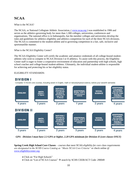## **NCAA**

What is the NCAA?

The NCAA, or National Collegiate Athletic Association, (www.ncaa.org) was established in 1906 and serves as the athletics governing body for more than 1,300 colleges, universities, conferences and organizations. The national office is in Indianapolis, but the member colleges and universities develop the rules and guidelines for athletics eligibility and athletics competition for each of the three NCAA divisions. The NCAA is committed to the student-athlete and to governing competition in a fair, safe, inclusive and sportsmanlike manner.

What is the NCAA Eligibility Center?

The NCAA Eligibility Center will certify the academic and amateur credentials of all college-bound studentathletes who wish to compete in NCAA Division I or II athletics. To assist with this process, the Eligibility Center staff is eager to foster a cooperative environment of education and partnership with high schools, high school coaches and college-bound student-athletes. Ultimately, the individual student-athlete is responsible for achieving and protecting his or her eligibility status.

ELIGIBILITY STANDARDS:

### DIVISION I

Complete 10 NCAA core courses, including seven in English, math or natural/physical science, before your seventh semester.



*GPA - Division I must have 2.3 GPA or higher, 2.20 GPA minimum for Division II (core classes ONLY)*

**Spring Creek High School Core Classes** – *courses that meet NCAA eligibility for core class requirements are designated in the SCHS Course Catalog as "Meets NCAA Core Criteria"* or check online @ [www.eligibilitycenter.org](http://www.eligibilitycenter.org/)

- Click on "For High Schools"
- Click on "List of NCAA Courses"  $\rightarrow$  search by SCHS CEEB/ACT Code: 290049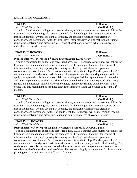#### <span id="page-10-0"></span>ENGLISH / LANGUAGE ARTS

| <b>ENGLISH I</b>         | <b>Full Year</b>    |
|--------------------------|---------------------|
| Meets NCAA Core Criteria | $Credit$ (I<br>L.A. |

To build a foundation for college and career readiness, SCHS Language Arts courses will follow the Common Core anchor and grade specific standards for the reading of literature, the reading of informational texts, writing, speaking & listening, and language, which include grammar, conventions, and vocabulary. At the  $9<sup>th</sup>$  grade level, these standards will be met through reading, responding, analyzing, and discussing a selection of short stories, poetry, whole class novels, individual novels, articles, and essays.

| <b>ENGLISH I HONORS</b>  | <b>Full Year</b> |
|--------------------------|------------------|
| Meets NCAA Core Criteria | Credit (L.A.)    |

**Prerequisite: "A" average in 8th grade English as per ECSD policy**

To build a foundation for college and career readiness, SCHS Language Arts courses will follow the Common Core anchor and grade specific standards for the reading of literature, the reading of informational texts, writing, speaking & listening, and language, which include grammar, conventions, and vocabulary. The Honors course will utilize the College Board approved Pre-AP curriculum which is a rigorous curriculum that challenges students by requiring them not only to apply concepts and skills, but also to explain the thinking behind their applications of knowledge and to participate in critical thinking. The students who take this course are expected to be strong readers and independent learners who will complete much of the reading outside of class. This course is highly recommended for those students planning on taking AP courses as  $11<sup>th</sup>$  and  $12<sup>th</sup>$ graders.

| <b>ENGLISH II</b>        | <b>Full Year</b>                                              |
|--------------------------|---------------------------------------------------------------|
| Meets NCAA Core Criteria | `radit<br>$\mathbf \Omega$<br>$\mathbf{L} \cdot \mathbf{A}$ . |

To build a foundation for college and career readiness, SCHS Language Arts courses will follow the Common Core anchor and grade specific standards for the reading of literature, the reading of informational texts, writing, speaking & listening, and language, which include grammar, conventions, and vocabulary. At the  $10<sup>th</sup>$  grade level, these standards will be met through reading, responding, analyzing, and discussing fiction and non-fiction pieces of World Literature.

| <b>ENGLISH II HONORS</b> | <b>Full Year</b>      |
|--------------------------|-----------------------|
| Meets NCAA Core Criteria | $\Gamma$ redit (L.A., |

**Prerequisite: "A" average in English I or English I Honors as per ECSD policy**

To build a foundation for college and career readiness, SCHS Language Arts courses will follow the Common Core anchor and grade specific standards for the reading of literature, the reading of informational texts, writing, speaking & listening, and language, which include grammar, conventions, and vocabulary. The Honors course will utilize the College Board approved Pre-AP curriculum which is a rigorous curriculum with a focus on literary analysis and critical thinking. The students who take this course are expected to be strong readers and independent learners who will complete much of the reading outside of class. This course is highly recommended for those students planning on taking AP courses as  $11<sup>th</sup>$  and  $12<sup>th</sup>$  graders.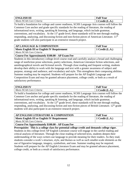| <b>ENGLISH III</b>       | <b>Full Year</b>                               |
|--------------------------|------------------------------------------------|
| Meets NCAA Core Criteria | Credit<br>$\mathsf{L}(\mathbf{A}, \mathsf{I})$ |

To build a foundation for college and career readiness, SCHS Language Arts courses will follow the Common Core anchor and grade specific standards for the reading of literature, the reading of informational texts, writing, speaking  $\&$  listening, and language, which include grammar, conventions, and vocabulary. At the  $11<sup>h</sup>$  grade level, these standards will be met through reading, responding, analyzing, and discussing fiction and non-fiction pieces of American Literature. 11<sup>th</sup> grade students will also participate in an extensive research project.

| Meets English III or English IV Requirement<br>$\vert$ 1 Credit (L.A.) | <b>AP LANGUAGE &amp; COMPOSITION</b> | <b>Full Year</b> |
|------------------------------------------------------------------------|--------------------------------------|------------------|
|                                                                        |                                      |                  |
|                                                                        | Meets NCAA Core Criteria             |                  |

#### **Course Fee Approximately \$100.00 - AP Exam Fee**

Students in this introductory college-level course read and carefully analyze a broad and challenging range of nonfiction prose selections, poetry selections, American Literature fiction selections, and autobiographical novels and fictional novels. Through close reading and frequent writing, students develop their ability to work with the language and text with a greater awareness of subject and purpose, strategy and audience, and vocabulary and style. This strengthens their composing abilities. Summer reading may be required. Students will prepare for the AP English Language and Composition Exam and may be granted advance placement, college credit, or both as a result of satisfactory performance.

| <b>ENGLISH IV</b>        | <b>Full Year</b>                         |
|--------------------------|------------------------------------------|
| Meets NCAA Core Criteria | Credit<br>$\mathbf{\mathsf{\omega}}$ .A. |

To build a foundation for college and career readiness, SCHS Language Arts courses will follow the Common Core anchor and grade specific standards for the reading of literature, the reading of informational texts, writing, speaking & listening, and language, which include grammar, conventions, and vocabulary. At the  $12<sup>th</sup>$  grade level, these standards will be met through reading, responding, analyzing, and discussing fiction and non-fiction pieces of British Literature.  $12<sup>th</sup>$  grade students will also participate in an extensive research project.

| <b>AP ENGLISH LITERATURE &amp; COMPOSITION</b> | <b>Full Year</b>        |
|------------------------------------------------|-------------------------|
| Meets English III or English IV Requirement    | $\vert$ 1 Credit (L.A.) |
| Meets NCAA Core Criteria                       |                         |

**Course Fee Approximately \$100.00 - AP Exam Fee**

**Prerequisite: This is a college class for potential college credit and demands college rigor.**  Students in this college-level AP English Literature course will engage in the careful reading and critical analysis of literature. Through the close reading of selected texts, students deepen their understanding of the ways writers use language to provide meaning for their readers. As they read, students consider a work's structure, style, and themes as well as such smaller-scale elements as the use of figurative language, imagery, symbolism, and tone. Summer reading may be required. Students will prepare for the AP English Literature Exam and may be granted advance placement, college credit, or both as a result of satisfactory performance.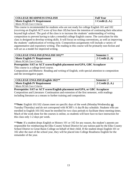| <b>COLLEGE READINESS ENGLISH</b>    | <b>Full Year</b>  |
|-------------------------------------|-------------------|
| <b>Meets English IV Requirement</b> | 1 Credit $(L.A.)$ |
| Meets NCAA Core Criteria            |                   |

This course is recommended for students who are not ready for college English 101 and 102 (*receiving an English ACT score of less than 18*) but have the intention of continuing their education beyond high school. The goal of the class is to increase the students' understanding of writing composition to prevent having to take a remedial college English course. The curriculum for this class is designed to develop writing skills. It will focus on writing conventions, as well as improving the students' sophistication of writing style. Composition assignments will include a variety of argumentative and expository writing. The reading in this course will be primarily non-fiction and will act as a model for improved writing.

| <b>COLLEGE ENGLISH (ENGLISH 101)**</b> | <b>Semester 1</b>       |
|----------------------------------------|-------------------------|
| <b>Meets English IV Requirement</b>    | $\vert$ .5 Credit (L.A) |
| Meets NCAA Core Criteria               |                         |

**Prerequisite: SAT or ACT scores/English placement test/GPA, GBC Accuplacer** This course is a college level course.

Composition and Rhetoric: Reading and writing of English, with special attention to composition and the investigative paper.

| $\vert$ COLLEGE ENGLISH (English 102)** | Semester 2               |
|-----------------------------------------|--------------------------|
| <b>Meets English IV Requirement</b>     | $\vert$ .5 Credit (L.A.) |
| Meets NCAA Core Criteria                |                          |

**Prerequisite: SAT or ACT scores/English placement test/GPA, or GBC Accuplacer** Composition and Literature: Continuation and extension of the first semester, with readings including literature as a means to further training and composition.

**\*\*Note:** English 101/102 classes meet on specific days of the week (Monday/Wednesday **or** Tuesday/Thursday) and do not correspond with SCHS's A day/B day schedule. Students who are enrolled in English 101/102 must be enrolled for two class periods to facilitate these meeting times. Much of the work done for the courses is online, so students will have face-to-face instruction for this class only 1-2 days per week.

\*\***Note**: If a student drops English or History 101 or 102 for any reason, the student's parents are responsible for reimbursing the Elko County School District for any tuition paid by the Elko County School District to Great Basin College on behalf of their child. If the student drops English 101 or 102 after the start of the school year, they will be placed into College Readiness English for the remainder of the year.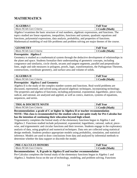## <span id="page-13-0"></span>**MATHEMATICS**

| <b>ALGEBRA I</b>         | <b>Full Year</b> |
|--------------------------|------------------|
| Meets NCAA Core Criteria | Credit (Math)    |

Algebra I examines the basic structure of real numbers, algebraic expressions, and functions. The topics studied are linear equations, inequalities, functions and systems, quadratic equations and functions, polynomial expressions, data analysis, probability, and properties of functions. Mathematical modeling of real-life problems and problem solving are major themes of the course.

| СЕОМЕТРУ          | Year<br>$F_{\text{UL}}$ |  |  |  |  |
|-------------------|-------------------------|--|--|--|--|
| Meets NC          | <b>Math</b>             |  |  |  |  |
| CAA Core Criteria | modif                   |  |  |  |  |

#### **Prerequisite: Algebra I**

Geometry is studied as a mathematical system through the deductive development of relationships in the plane and space. Students formalize their understanding of geometric concepts, including congruence and similarity, circle chords, secants and tangent segments, parallel and perpendicular lines, angle and side measures in polygons, proofs, logic, transformations, the Pythagorean Theorem, constructions, coordinate geometry, and surface area and volume of solids.

| <b>ALGEBRA II</b>        | <b>Full Year</b> |
|--------------------------|------------------|
| Meets NCAA Core Criteria | Tredit (Math)    |

#### **Prerequisite: Algebra I and Geometry**

Algebra II is the study of the complex number system and functions. Real-world problems are discussed, represented, and solved using advanced algebraic techniques, incorporating technology. The properties and algebra of functions, including polynomial, exponential, logarithmic, piece-wise, radical, and rational, are analyzed and applied, as well as conics, matrices, systems of equations, sequences, and series.

| <b>TRIG &amp; DISCRETE MATH</b> | <b>Full Year</b>         |  |  |  |  |
|---------------------------------|--------------------------|--|--|--|--|
| Meets NCAA Core Criteria        | $C_{\text{redit}}(Math)$ |  |  |  |  |

**Recommendation: a grade of C or higher in Algebra II or teacher recommendation NOTE: This class is recommended for the student who is not quite ready for Pre-Calculus but has the intention of continuing their education beyond high school.**

Trigonometry completes the formal study of the elementary functions begun in Algebra 1 and Algebra 2. Functions studied include polynomial, exponential, logarithmic, rational, radical, piecewise, and trigonometric and circular functions and their inverses. Students engage in the exploratory analysis of data, using graphical and numerical techniques. Data sets are collected using statistical design methods. Students produce appropriate models using probability, simulation, and statistical inference. Models are used to draw conclusions from data and analyzed by inferential methods to determine whether the data support or discredit the model.

| <b>PRE-CALCULUS HONORS</b> | <b>Full Year</b>     |  |  |
|----------------------------|----------------------|--|--|
| Meets NCAA Core Criteria   | <b>Tredit (Math)</b> |  |  |

#### **Recommendation: A, B grade in Algebra II and teacher recommendation**

Pre-Calculus completes the formal study of the elementary functions begun in Algebra 1 and Algebra 2. Students focus on the use of technology, modeling, and problem solving. Functions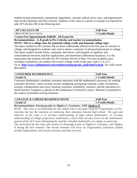studied include polynomial, exponential, logarithmic, rational, radical, piece-wise, and trigonometric and circular functions and their inverses. Students in this class as a junior or younger are expected to take AP Calculus AB in the following year.

| <b>P CALCULUS AB</b><br>AP                          | <b>Full Year</b>     |
|-----------------------------------------------------|----------------------|
| Meets NCAA Core Criteria                            | <b>Credit (Math)</b> |
| . .<br>.<br>$\sim$<br>$\overline{\phantom{a}}$<br>. |                      |

**Course Fee Approximately \$100.00 - AP Exam Fee**

**Recommendation: A, B grade in Pre-Calculus and teacher recommendation**

**NOTE: This is a college class for potential college credit and demands college rigor.** The topics studied in AP Calculus AB are those traditionally offered in the first year of calculus in college, and designed for students who wish to obtain a semester of advanced placement in college. The topics studied include limits, continuity, derivatives, and integrals of algebraic and transcendental functions and their applications, and elementary differential equations. It is the expectation that students will take the AP Calculus AB test in May. For most academic postsecondary institutions, the student will receive college credit if they pass with a 3, 4, or 5. Go to: **[http://www.collegeboard.com/student/testing/ap/sub\\_calab.html?calcab](http://www.collegeboard.com/student/testing/ap/sub_calab.html?calcab)** for a full course description.

| <b>CONSUMER MATHEMATICS</b> | <b>Full Year</b> |  |  |
|-----------------------------|------------------|--|--|
| <b>Grade 12</b>             | Credit (Math)    |  |  |

Consumer Mathematics combines consumer education with the mathematics necessary for making consumer decisions. Topics include income, budgeting, purchasing, banking, credit, investments, taxation, transportation and travel, housing, insurance, probability, statistics, and the operation of a small business. Emphasis is placed on the mathematics involved in careers. Material is presented in the context of problem-solving situations.

| <b>  COLLEGE &amp; CAREER READINESS MATH</b> |                          |                          |  |  |  |  |            |  | <b>Full Year</b> |
|----------------------------------------------|--------------------------|--------------------------|--|--|--|--|------------|--|------------------|
| Grade 12                                     |                          |                          |  |  |  |  |            |  | 1 Credit (Math)  |
| $\overline{\phantom{a}}$                     | $\overline{\phantom{a}}$ | $\overline{\phantom{a}}$ |  |  |  |  | $\sqrt{2}$ |  |                  |

**Recommendation: Passing grades in Algebra I, Geometry, AND Algebra II**

*NOTE: This class is recommended for the student who is not quite ready for Trigonometry or Pre-Calculus but has the intention of continuing their education beyond high school. The goal and objective of the class is to increase understanding of high school mathematics, to increase understanding of college preparatory mathematics, and to thus increase scores on the mathematics portion of the ACT exam eliminating the need for remedial mathematics at college or university.*

The curriculum for this class will consist of a thorough review of Algebra I, Geometry, and Algebra II during the first semester. The second semester will focus on Trigonometry. Functions studied include trigonometric and circular functions and their inverses.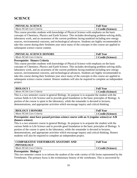## <span id="page-15-0"></span>**SCIENCE**

| <b>PHYSICAL SCIENCE</b>  | <b>Full Year</b>                |
|--------------------------|---------------------------------|
| Meets NCAA Core Criteria | <sup>1</sup> 1 Credit (Science) |

This course provides students with knowledge of Physical Science with emphasis on the basic concepts of Chemistry, Physics and Earth Science. This includes developing problem-solving skills, laboratory work, and an awareness of the current problems facing mankind including new energy sources, environmental concerns, and technological advances. Students are highly recommended to take this course during their freshmen year since many of the concepts in this course are applied to subsequent science course content.

| PHYSICAL SCIENCE HONORS  | <b>Full Year</b>        |
|--------------------------|-------------------------|
| Meets NCAA Core Criteria | <b>Credit (Science)</b> |

#### **Prerequisite: Honors Criteria**

This course provides students with knowledge of Physical Science with emphasis on the basic concepts of Chemistry, Physics and Earth Science. This includes developing problem-solving skills, laboratory work, and an awareness of the current problems facing mankind including new energy sources, environmental concerns, and technological advances. Students are highly recommended to take this course during their freshmen year since many of the concepts in this course are applied to subsequent science course content. Honors students will also be required to complete an independent project.

| <b>BIOLOGY I</b>         | <b>Full Year</b>        |
|--------------------------|-------------------------|
| Meets NCAA Core Criteria | <b>Credit (Science)</b> |

This is a two semester course in general Biology. Its purpose is to acquaint the student with the various fields in Life Science and to provide good foundation in the basic principles of Biology. A portion of the course is spent in the laboratory, while the remainder is devoted to lectures, demonstrations, and appropriate activities which encourage inquiry and critical thinking.

| <b>BIOLOGY I HONORS</b>  | <b>Full Year</b>   |
|--------------------------|--------------------|
| Meets NCAA Core Criteria | 1 Credit (Science) |

#### **Prerequisite: must have passed previous science course with an A (regular science) or A/B (honors science)**

This is a two semester course in general Biology. Its purpose is to acquaint the student with the various fields in Life Science and to provide good foundation in the basic principles of Biology. A portion of the course is spent in the laboratory, while the remainder is devoted to lectures, demonstrations, and appropriate activities which encourage inquiry and critical thinking. Honors students will also be required to complete an independent project.

| COMPARATIVE VERTEBRATE ANATOMY AND<br><b>PHYSIOLOGY</b> | <b>Full Year</b>   |
|---------------------------------------------------------|--------------------|
| Meets NCAA Core Criteria                                | 1 Credit (Science) |

#### **Prerequisite: Biology I**

This two semester course is to inform the student of the wide variety of life forms represented by the Vertebrates. The primary focus is the evolutionary history of the vertebrates. This is uncovered by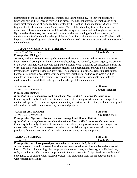examination of the various anatomical systems and their physiology. Whenever possible, the functional role of differences in form will be discussed. In the laboratory, the emphasis is on an anatomical comparison of primitive (represented by the Dogfish Shark and lamprey) and derived (represented by the cat and human) vertebrates. Much of the laboratory time will be spent on dissection of these specimens with additional laboratory exercises added in throughout the course. By the end of the course, the student will have a solid understanding of the basic anatomy of vertebrates and fundamental knowledge of the relationships of all vertebrate groups. Emphasis will be placed on the phylogenetic relationship of vertebrates to clarify evolutionary trends in the story of the vertebrates.

| HUMAN ANATOMY AND PHYSIOLOGY | <b>Full Year</b>   |
|------------------------------|--------------------|
| Meets NCAA Core Criteria     | 1 Credit (Science) |

#### **Prerequisite: Biology I**

Anatomy and Physiology is a comprehensive introduction to structure and function of the human body. Essential principles of human anatomy/physiology include cells, tissues, organs, and systems of the body. In addition, it provides comparative anatomy with shark and cat dissections during the year. The course will also explore different medical field occupations, and will hold laboratory investigations to provide hands on activities. The concepts of digestion, circulation, respiration, homeostasis, kinesiology, skeletal system, myology, metabolism, and nervous system will be included in this course. This course is very practical for all students wanting to enter into the medical or allied health field desiring more knowledge of the human body.

| <b>CHEMISTRY</b>                            | <b>Full Year</b>   |
|---------------------------------------------|--------------------|
| <i><b>CAA Core Criteria</b></i><br>Meets NC | l credit (Science) |

#### **Prerequisite: Biology I**

#### *If the student is a sophomore, he/she must take Bio I or Bio I Honors at the same time.*

Chemistry is the study of matter, its structure, composition, and properties, and the changes that matter undergoes. The course incorporates laboratory experiences with lecture, problem-solving and critical thinking skills, demonstrations, reports and projects.

| <b>CHEMISTRY HONORS</b>  | <b>Full Year</b> |
|--------------------------|------------------|
| Meets NCAA Core Criteria | Credit (Science) |

#### **Prerequisite: Algebra I, Physical Science, Biology I and Honors Criteria**

*If the student is a sophomore, the student must take Bio I or Bio I Honors at the same time.* Chemistry is the study of matter, its structure, composition, and properties, and the changes that matter undergoes. The two semester course incorporates laboratory experiences with lecture, problem-solving and critical thinking skills, demonstrations, reports and projects.

| <b>ENCE</b><br><b>SEMIN</b><br>√AR<br><b>SCIENC</b> | <b>Full Year</b>                                  |
|-----------------------------------------------------|---------------------------------------------------|
| $\mathbf{1}$<br>Grade<br>┸┵                         | $\sqrt{2}$<br>"rad"<br>(Science)<br><b>ULCUIL</b> |

#### **Prerequisite: must have passed previous science courses with A, B, or C**

A two semester course in conservation which revolves around research strategies and our natural history. Topics include ecology, human population, range issues, biodiversity, wildlife, land use, soils, air and water. The outdoor component will involve several field trips. Students enrolling will be required to do an individual research project. This program is ideal for the outdoor enthusiast with research aspirations.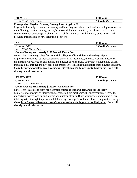| <b>PHYSICS</b>           | <b>Full Year</b>        |
|--------------------------|-------------------------|
| Meets NCAA Core Criteria | <b>Credit (Science)</b> |

#### **Prerequisite: Physical Science, Biology I and Algebra II**

Physics is the study of matter and energy and how they are related. Included are such phenomena as the following: motion, energy, forces, heat, sound, light, magnetism, and electricity. The two semester course encourages problem-solving ability, incorporates laboratory experiences, and provides information on new scientific discoveries.

| <b>AP BIOLOGY</b>        | <b>Full Year</b>   |
|--------------------------|--------------------|
| $\vert$ Grades 10-12     | 1 Credit (Science) |
| Meets NCAA Core Criteria |                    |

**Course Fee Approximately \$100.00 - AP Exam Fee**

**Note: This is a college class for potential college credit and demands college rigor.**

Explore concepts such as Newtonian mechanics, fluid mechanics, thermodynamics, electricity, magnetism, waves, optics, and atomic and nuclear physics. Build your understanding and critical thinking skills through inquiry-based, laboratory investigations that explore these physics concepts. **Go to [http://www.collegeboard.com/student/testing/ap/sub\\_physb.html?physicsb](http://www.collegeboard.com/student/testing/ap/sub_physb.html?physicsb) for a full description of this course.**

| <b>AP PHYSICS</b>        | <b>Full Year</b>   |
|--------------------------|--------------------|
| $\sqrt{Grades}$ 11-12    | 1 Credit (Science) |
| Meets NCAA Core Criteria |                    |

**Course Fee Approximately \$100.00 - AP Exam Fee**

**Note: This is a college class for potential college credit and demands college rigor.**

Explore concepts such as Newtonian mechanics, fluid mechanics, thermodynamics, electricity, magnetism, waves, optics, and atomic and nuclear physics. Build your understanding and critical thinking skills through inquiry-based, laboratory investigations that explore these physics concepts. **Go to [http://www.collegeboard.com/student/testing/ap/sub\\_physb.html?physicsb](http://www.collegeboard.com/student/testing/ap/sub_physb.html?physicsb) for a full description of this course.**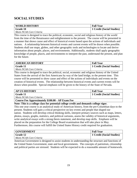## <span id="page-18-0"></span>**SOCIAL STUDIES**

| WORLD HISTORY            | <b>Full Year</b>                       |
|--------------------------|----------------------------------------|
| Grade 10                 | <sup>1</sup> 1 Credit (Social Studies) |
| Meets NCAA Core Criteria |                                        |

This course is designed to trace the political, economic, social and religious history of the world from the time of the Renaissance and enlightenment to the present. The course will be presented in a manner that shows cause and effect of historical events based upon the actions of individuals and nations. A relationship between historical events and current events will be drawn when possible. Students shall use maps, globes, and other geographic tools and technologies to locate and derive information about people, places, and environments. Additionally, students shall apply geographic knowledge of people, places, and environments to interpret the past, understand the present, and plan for the future.

| <b>AMERICAN HISTORY</b>  | <b>Full Year</b>          |
|--------------------------|---------------------------|
| Grade 11                 | 1 Credit (Social Studies) |
| Meets NCAA Core Criteria |                           |

This course is designed to trace the political, social, economic and religious history of the United States from the arrival of the first Americans by way of the land bridge, to the present time. This course will be presented to show cause and effect of the actions of individuals and events on the creation of historical events. The relationship between historical events and current events will be drawn when possible. Special emphasis will be given to the history of the State of Nevada.

| <b>AP US HISTORY</b>     | <b>Full Year</b>                       |
|--------------------------|----------------------------------------|
| Grade 11                 | <sup>1</sup> 1 Credit (Social Studies) |
| Meets NCAA Core Criteria |                                        |

**Course Fee Approximately \$100.00 - AP Exam Fee**

**Note: This is a college class for potential college credit and demands college rigor.**

This one year course is an analytical study of American history, from the pre-Columbian days to the present. Students will gain a critical perspective on key events and people that shaped our nation. Students will develop critical thinking skills, interpret primary sources such as maps, letters, photos, essays, graphs, statistics, and political cartoons, assess the validity of historical arguments, write analytical essays with a strong thesis statement, and develop map skills. Emphasis will be placed on the preparation for the College Board examination that will take place in May. Furthermore, this course will fulfill the United States History credit required for graduation.

| <b>GOVERNMENT</b>        | <b>Full Year</b>          |
|--------------------------|---------------------------|
| Grade 12                 | 1 Credit (Social Studies) |
| Meets NCAA Core Criteria |                           |

American Government is designed to assist students in understanding the structure and functions of the United States Government, state and local governments. The concepts of patriotism, citizenship and political parties are stressed. Students will be expected to do a reasonable amount of homework.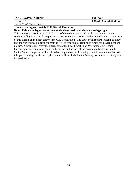| <b>AP US GOVERNMENT</b>  | <b>Full Year</b>          |
|--------------------------|---------------------------|
| Grade 12                 | 1 Credit (Social Studies) |
| Meets NCAA Core Criteria |                           |

**Course Fee Approximately \$100.00 - AP Exam Fee**

**Note: This is a college class for potential college credit and demands college rigor.**

This one year course is an analytical study of the federal, state, and local governments, where students will gain a critical perspective on government and politics in the United States. At the core of this class is an in-depth study of the U.S. Constitution. The course will require students to study and analyze various political concepts as well as case studies relating to American government and politics. Students will study the interaction of the three branches of government, the federal bureaucracy, interest groups, political behavior, and actions of the diverse politicians within the United States. Emphasis will be placed on preparation for the College Board examination that will take place in May. Furthermore, this course will fulfill the United States government credit required for graduation.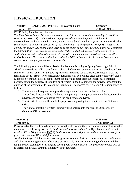## <span id="page-20-0"></span>**PHYSICAL EDUCATION**

| <b>INTERSCHOLASTIC ACTIVITIES (PE Waiver Forms)</b> | Semester          |
|-----------------------------------------------------|-------------------|
| $\vert$ Grades 10-12                                | $5$ Credit (P.E.) |

#### ECSD Policy includes the following:

*The Elko County School District shall exempt a pupil from not more than one-half (1/2) credit per semester up to one (1) credit maximum in physical education if the pupil participates in interscholastic athletics, on a drill team, in a marching band, in a dance group or on a cheerleading squad if (a) The activity is sponsored by the school; and, (b) The pupil actively participates in the activity for at least 120 hours that is verified by the coach or advisor. Once a student has completed the participation requirements the course title "Interscholastic Activities" will be posted to a student's historical grades with a grade of Pass (P). "Interscholastic Activities" is a Pass (P) or Fail (F) course. This course will not be used in the GPA or honor roll calculation, however this course does count for graduation requirements.*

The following procedure will be utilized to implement this policy at Spring Creek High School: All 9<sup>th</sup> grade students will be enrolled in a physical education course for the entire school year (two semesters), to earn one (1) of the two (2) PE credits required for graduation. Exemption from the remaining one (1) credit (two semesters) requirement will be obtained after completion of  $9<sup>th</sup>$  grade. Exemption from the PE credit requirement can only take place after the student has completed participation in the activity. The student must remain in good standing in the activity throughout the duration of the season in order to earn the exemption. The process for requesting the exemption is as follows:

- 1. The student will request the appropriate paperwork from the Guidance Office.
- 2. The athletic director will verify the activity participation requirements with the head coach or advisor, and secure a signature from the head coach or advisor.
- 3. The athletic director will submit the paperwork approving the exemption to the Guidance Office.
- 4. The "Interscholastic Activities" course will be entered into the student's transcript by Guidance Office personnel.

| <b>WEIGHTS</b> | <b>Full Y</b><br>Y ear      |
|----------------|-----------------------------|
| Grades 9-12    | Tredit $(P.E.)$<br>UL ULI U |

**Prerequisite:** There is limited space in our weights classroom, therefore students requesting weights must meet the following criteria: 1) *Students must have earned an A or B for both semesters in their previous PE or Weights class* **AND** 2) *Students must have a signature on their course request form from their previous PE or Weights teacher*.

An elective Physical Education course designed for students desiring a more extensive conditioning and physical training program. The basics of lifting, plyometrics, and training techniques will be taught. Proper techniques of lifting and spotting will be emphasized. The goal of the course will be to increase individual strength, flexibility, and endurance.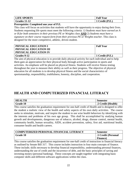| <b>LIFE SPORTS</b> | $\mathbf{11} \mathbf{X7}$<br>Year<br>*ull |
|--------------------|-------------------------------------------|
| <b>Grades</b>      | $_{\bullet}$ redit $^{\prime}$            |
| $11 - 12$          | (P.E.,                                    |

#### **Prerequisite: Completed one year of P.E.**

This class will focus on activities that students will have the opportunity to enjoy during their lives. Students requesting life sports must meet the following criteria: *1) Students must have earned an A or B for both semesters in their previous PE or Weights class* **AND** 2) *Students must have a signature on their course request form from their previous PE or Weights teacher*. This class is designed for the more competitive, athletic, driven student.

| PHYSICAL EDUCATION I         | <b>Full Year</b> |
|------------------------------|------------------|
| PHYSICAL EDUCATION III       |                  |
| <b>PHYSICAL EDUCATION IV</b> |                  |
| Grades 9-12                  | 1 Credit (P.E.)  |

The aim of physical education is to provide daily physical activity for each individual and to help them gain an appreciation for their physical body through active participation in sports and activities. An emphasis will be placed on physical fitness. Students will receive fitness testing throughout the year to measure their ability as well as their progress. The objective of physical education for all students is to develop physical fitness and the social characteristics of sportsmanship, responsibility, truthfulness, honesty, discipline, and cooperation.

## <span id="page-21-0"></span>**HEALTH AND COMPUTERIZED FINANCIAL LITERACY**

| <b>TH</b>          | Semester                                                  |
|--------------------|-----------------------------------------------------------|
| <b>10</b><br>Grade | <b>Credit</b><br><b>A</b> realth)<br>$\ddot{\phantom{0}}$ |

This course satisfies the graduation requirement for one-half credit of Health and is designed to offer the student a realistic view of the health and safety aspects of his own daily activities. The course seeks to stimulate, motivate, and inspire the student to use wise health behaviors by identifying with the interests and problems of his own age group. This shall be accomplished by studying human growth and developments, dangerous use of tobacco, alcohol, drugs, disease control, mental health, community health, human sexuality, AIDS, accident prevention, safety, first aid, nutritional health, consumer health and health careers.

| COMPUTERIZED PERSONAL FINANCIAL LITERACY | <b>Semester</b>     |
|------------------------------------------|---------------------|
| Grade 10                                 | .5 Credit (Personal |
|                                          | <b>Finance</b> )    |

This course satisfies the graduation requirement for one-half credit of instruction in financial literacy as outlined by Senate Bill 317. This course includes instruction in four main concepts of finance. These include; skills necessary to develop financial responsibility, understanding personal finances, understanding the use of credit and the incurrence of debt, and the basic principles of saving and investing money (personal banking). These concepts are taught together with integrating basic computer skills and different software applications within the class.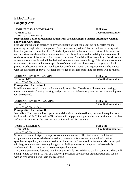## <span id="page-22-0"></span>**ELECTIVES**

#### **Language Arts**

| <b>JOURNALISM I/NEWSPAPER</b> | <b>Full Year</b>      |
|-------------------------------|-----------------------|
| Grades 10-12                  | 1 Credit (Humanities) |
| Meets NCAA Core Criteria      |                       |

#### **Prerequisite: Letter of recommendation from previous English teacher attesting to writing ability and work ethic.**

First year journalism is designed to provide students with the tools for writing articles for and producing the high school newspaper. Basic news writing, editing, lay out and interviewing skills form the practical core of the class. A study of journalistic ethics and an overview of the influence and importance of the media provide a context for publication, as well as raising the awareness of students to some of the more critical issues of our time. Material will be drawn from historic as well as contemporary media and will be designed to make students more thoughtful critics and consumers of the news. Students will create a portfolio of their work over the course of the year as a final project. Keyboarding skills are mandatory for enrollment, though this requirement may be waived with the instructor's approval. General knowledge of desktop publishing programs will be helpful.

| <b>JOURNALISM II /NEWSPAPER</b> | <b>Full Year</b>                   |
|---------------------------------|------------------------------------|
| Grades 11-12                    | <sup>1</sup> 1 Credit (Humanities) |
| Meets NCAA Core Criteria        |                                    |

#### **Prerequisite: Journalism I**

In addition to material covered in Journalism I, Journalism II students will have an increasingly more active role in planning, writing, and producing the high school paper. A major research project will be required.

| <b>JOURNALISM III /NEWSPAPER</b> | <b>Full Year</b>      |
|----------------------------------|-----------------------|
| Grade 12                         | 1 Credit (Humanities) |
| Meets NCAA Core Criteria         |                       |

#### **Prerequisite: Journalism II**

Journalism III students will occupy an editorial position on the staff and, besides the requirements for Journalism I  $&$  II, Journalism III students will help plan and present lessons pertinent to the class and assist in evaluating the performance of Journalism I & II students.

| PUBLIC SPEAKING          | <b>Full Year</b>      |
|--------------------------|-----------------------|
| Grades 9-12              | 1 Credit (Humanities) |
| Meets NCAA Core Criteria |                       |

Speech is a course designed to improve communication skills. The first semester will include assignments such as round table discussions, current events speeches, prepared informative speeches, storytelling, and demonstrations to improve confidence and self-esteem. Also developed, will be greater ease in expressing thoughts and feelings more effectively and understandably. Students will also participate in two major speech contests.

The second semester is designed to enhance those skills learned during the first semester. There will be impromptu speaking, as well as a study of persuasion, spontaneous argumentation and debate with an emphasis in using logic and reasoning.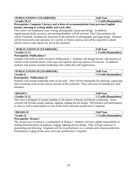| <b>PUBLICATIONS I (YEARBOOK)</b> | <b>Full Year</b>      |
|----------------------------------|-----------------------|
| $\vert$ Grades 10-12             | 1 Credit (Humanities) |

**Prerequisite: Computer Literacy and a letter of recommendation from previous English teacher attesting to writing ability and work ethic.**

This course will emphasize copy writing, photographic layout and design. In addition, organizational skills, accuracy and meeting deadlines will be stressed. This Class produces the school Yearbook. Students are instructed in the elements of photography and page design. Students will be instructed in the operation of a variety of 35mm cameras and will be expected to attend school events to take photos for use in the yearbook.

| PUBLICATIONS II (YEARBOOK) | <b>Full Year</b>           |
|----------------------------|----------------------------|
| Grades 11-12               | <b>Credit (Humanities)</b> |

#### **Prerequisite: Publications I**

Students will build on skills learned in Publications I. Students will design layouts, take pictures of current events around school, write copy and captions and crop photos to fit layouts. In addition, students will assume assistant leadership roles within the staff organization.

| <b>PUBLICATIONS III (YEARBOOK)</b> | <b>Full Year</b>      |
|------------------------------------|-----------------------|
| Grade 12                           | 1 Credit (Humanities) |

#### **Prerequisite: Publications II**

Students will assume leadership roles on the staff. They will be responsible for planning, organizing and overseeing work on the various sections of the yearbook. They will assist in training new staff members.

| DRAMA                 | <b>Full Year</b>    |
|-----------------------|---------------------|
| $\sqrt{Grades}$ 11-12 | Credit (Humanities) |

This class is designed to expose students to all aspects of theater and theater production. Areas covered will include acting, makeup, lighting, staging and set design. Performance and participation in class as well as participation in one of the extra-curricular productions is required.

| <b>DRAMA</b><br>$\mathbf I$ | <b>Full Year</b> |
|-----------------------------|------------------|
| 10                          | (Humanities)     |
| Grade                       | Credit (         |

#### **Prerequisite: Drama I**

<span id="page-23-0"></span>The second year of drama is a continuation of Drama I. Students will have added responsibility in leading demonstrations on makeup, staging, lighting and set design. They will get exposure to playwriting and directing. Emphasis will be on performance in a comedy and a drama production. Participation in three of the extra-curricular productions is required.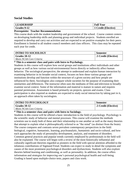#### **Social Studies**

| <b>LEADERSHIP</b> | <b>Full Year</b>               |
|-------------------|--------------------------------|
| Grades 9-12       | <sup>1</sup> Credit (Elective) |

#### **Prerequisite: Teacher Recommendation**

This course deals with the student leadership and government of the school. Course content centers on developing leadership skills and planning group and individual projects. Students enrolled are required to develop and carry out activities and are expected to set positive examples for their peers. Enrollment is limited to all student council members and class officers. This class may be repeated each year for credit.

| <b>INTRO TO SOCIOLOGY</b> | <b>Semester</b>      |
|---------------------------|----------------------|
| $\sqrt{$ Grades 10-12     | 5. Credit (Elective) |
| Meets NCAA Core Criteria  |                      |

#### **\* This is a semester class and pairs with Intro to Psychology.**

Students in this course will explore how social groups and institutions affect individuals and other groups as well as how various social-environmental forces directly or indirectly affect human behavior. The sociological perspective, the attempt to understand and explain human interaction by examining behavior in its broader social context, focuses on how these various groups and institutions develop and function within the structure of a given society and how people are influenced by them. Sociologists also compare whole societies for the purpose of examining their similarities and differences. The instructor often uses the mediums of film and television to broadly examine social context. Some of the information and material is mature in nature and requires parental permission. Assessment is based primarily on projects, quizzes and exams. Class participation is also required as students are expected to study social interaction by taking part in it, an approach often taken by sociologists.

| <b>INTRO TO PSYCHOLOGY</b> | – Semester                   |
|----------------------------|------------------------------|
| Grades 10-12               | <b>1.5 Credit (Elective)</b> |
| Meets NCAA Core Criteria   |                              |

#### **\* This is a semester class and pairs with Intro to Sociology.**

Students in this course will be offered a basic introduction to the field of psychology. Psychology is the scientific study of behavior and mental processes. This course will examine the methods scientists use to study both of these and their relationship to one another as well as the many theories that attempt to explain what is philosophically referred to as "the mind" (as distinct from the brain). The course compares and contrasts seven prevalent contemporary perspectives in the field: biological, cognitive, humanistic, learning, psychoanalytic, humanistic and socio-cultural, and how each approaches the study of personality development, analysis, and treatment of disorders. Common general practices and popular trends currently employed by professionals in the field will also be explained. The course will begin with a review of the most historically influential and culturally significant theorists regarded as pioneers in the field with special attention afforded to the infamous contributions of Sigmund Freud. Students can expect to study in detail the symptoms and causes of the most prominent psychological disorders and dysfunctions. Students will also explore theories behind learning and conditioning, as well as personality. In addition, the course offers information and strategies for improving one's personal psychological health and well-being. Grading is based upon multiple-choice tests, papers and class work.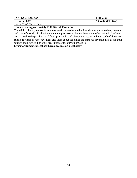| <b>AP PSYCHOLOGY</b>     | <b>Full Year</b>    |
|--------------------------|---------------------|
| $\vert$ Grades 11-12     | 1 Credit (Elective) |
| Meets NCAA Core Criteria |                     |

**Course Fee Approximately \$100.00 - AP Exam Fee**

The AP Psychology course is a college level course designed to introduce students to the systematic and scientific study of behavior and mental processes of human beings and other animals. Students are exposed to the psychological facts, principals, and phenomena associated with each of the major subfields within psychology. They also learn about the ethics and methods psychologists use in their science and practice. For a full description of the curriculum, go to

**https://apstudent.collegeboard.org/apcourse/ap-psychology**.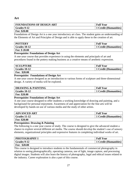#### **Art**

| FOUNDATIONS OF DESIGN ART | <b>Full Year</b>                   |
|---------------------------|------------------------------------|
| Grades 9-12               | <sup>1</sup> 1 Credit (Humanities) |
| Fee: \$20.00              |                                    |

Foundations of Design Art is a one year introductory art class. The student gains an understanding of the Elements of Art and Principles of Design and is able to apply these to the creation of art.

| <b>POTTERY</b>        | <b>Full Year</b>      |
|-----------------------|-----------------------|
| $\sqrt{$ Grades 10-12 | 1 Credit (Humanities) |
| Fee: \$20.00          |                       |

#### **Prerequisite: Foundations of Design Art**

A one-year course that provides experience in using the elements and principals of art and procedures found in the pottery making business as a creative means of aesthetic expression.

| <b>SCULPTURE</b>      | <b>Full Year</b>      |
|-----------------------|-----------------------|
| $\sqrt{Grades}$ 10-12 | 1 Credit (Humanities) |
| Fee: \$20.00          |                       |

#### **Prerequisite: Foundations of Design Art**

A one-year course designed as an introduction to various forms of sculpture and three-dimensional design. A variety of media will be explored.

| DRAWING & PAINTING | <b>Full Year</b>      |
|--------------------|-----------------------|
| Grades $10-12$     | 1 Credit (Humanities) |
| Fee: \$20.00       |                       |

#### **Prerequisite: Foundations of Design Art**

A one year course designed to offer students a working knowledge of drawing and painting, and a background for personal enjoyment. Awareness of and appreciation for the fine arts will be developed by hands-on use of various media and the study of other artists.

| <b>ADVANCED ART</b>  | <b>Full Year</b>      |
|----------------------|-----------------------|
| $\vert$ Grades 11-12 | 1 Credit (Humanities) |
| <b>Fee: \$20.00</b>  |                       |

#### **Prerequisites: Drawing & Painting**

The following is a one year course of study. The course is designed to give the advanced student a chance to explore several different art media. The course should develop the student's use of sensory elements, organizational principles and expressive features in completing individual works of art.

| <b>PHOTOGRAPHY I</b> | <b>Full Year</b>      |
|----------------------|-----------------------|
| Grades 9-12          | 1 Credit (Humanities) |
| \$20.00<br>Fee:      |                       |

This course is designed to introduce students to the fundamentals of commercial photography in relation to seeing photographically, operating cameras, use of light, image capture, and processing digital images. Students will also learn the history of photography, legal and ethical issues related to the industry. Career exploration is also a part of this course.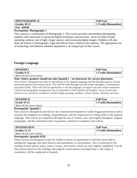| PHOTOGRAPHY II       | <b>Full Year</b>      |
|----------------------|-----------------------|
| $\vert$ Grades 10-12 | 1 Credit (Humanities) |
| Fee: \$20.00         |                       |

#### **Prerequisite: Photography I**

This course is a continuation of Photography I. This course provides intermediate photography students with instruction in advanced digital techniques and processes. Areas of study include operating cameras, use of light, image capture, and processing digital images. Students will also learn the history of photography, legal and ethical issues related to the industry. The appropriate use of technology and industry-standard equipment is an integral part of this course.

#### **Foreign Language**

| <b>SPANISH I</b>                     | <b>Full Year</b>      |
|--------------------------------------|-----------------------|
| $\overline{\phantom{a}}$ Grades 9-12 | 1 Credit (Humanities) |
| Meets NCAA Core Criteria             |                       |

**Note: Native speakers should not take Spanish I – see instructor for correct placement.**

This course is designed to provide an introduction to the Spanish language and life through mastery of basic structured patterns and pronunciation. This shall be done through oral and written dialogues, conversations, and pattern drills. There will also be opportunity to use the language in original oral and written statements. Cultural and geographic backgrounds may be presented in both Spanish and English. Areas of particular interest to be covered in vocabulary include simple greetings, numbers, school, family, clothing, and food.

| <b>SPANISH II</b>        | <b>Full Year</b>      |
|--------------------------|-----------------------|
| Grade 10-12              | 1 Credit (Humanities) |
| Meets NCAA Core Criteria |                       |

#### **Prerequisite: Spanish I**

This course is designed to provide for the continued development of audio-lingual proficiency and to increase the emphasis on reading, comprehension, and the acquisition of writing skills in the Spanish language. This will be accomplished through the use of written, oral, and original dialogues, original paragraphs, and the continued study of grammar, extensive vocabulary and culture.

| SPANISH III/IV           | <b>Full Year</b>             |
|--------------------------|------------------------------|
| $\mid$ Grades 11-12      | <b>1 Credit (Humanities)</b> |
| Meets NCAA Core Criteria |                              |

#### **Prerequisite: Spanish II/III**

These courses are designed so that the student is given an opportunity to develop more skill in reading the language and more fluency and spontaneity in conversation. This is achieved by the reading of short stories, plays, poetry, essays, and articles which are only slightly simplified, if at all. Discussions based on the readings and original conversations encompassing a wide range of vocabulary will be conducted in Spanish.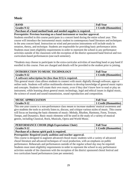#### **Music**

| <b>BAND</b>                                                     | <b>Full Year</b>      |
|-----------------------------------------------------------------|-----------------------|
| Grades 9-12                                                     | 1 Credit (Humanities) |
| Purchase of a band method book and needed supplies is required. |                       |

**Prerequisite: Previous learning on a band instrument or teacher approval.**

Students enrolled in this course participate in a concert band during the entire school year. This course will introduce the instrumental music student to contemporary band literature and techniques in the area concert band. Instruction on wind and percussion instruments will include study in notation, theory, and technique. Students are responsible for providing basic performance attire. Students must meet eligibility requirements in order to represent the school in any performance activities outside of the classroom with the exception of the district sponsored band festival and two curriculum-based performances (one each semester).

\*Students may choose to participate in the extra-curricular activities of marching band or pep band if enrolled in this course. Fees are charged and details will be provided to the student prior to joining.

| <b>INTRODUCTION TO MUSIC TECHNOLOGY</b>                   | <b>Full Year</b>      |
|-----------------------------------------------------------|-----------------------|
| Grades 9-12                                               | 1 Credit (Humanities) |
| A software subscription fee (less than \$15) is required. |                       |

This general music class allows students to connect with music digitally through software, apps or online tools. Students will utilize multimedia elements to develop knowledge of general music topics and concepts. Students will create their own music, even if they don't know how to read or play an instrument, while learning about general music technology, legal and ethical issues in digital music, the science of sound and sound transmission, sound reproduction and composition.

| <b>MUSIC APPRECIATION</b> | <b>Full Year</b>      |
|---------------------------|-----------------------|
| $\mid$ Grades 9-12        | 1 Credit (Humanities) |

This one-year course is a non-performance class meant to increase students' musical awareness and give students the tools to actively listen to, discuss, and critique various styles of music. This course will focus on learning the basic elements of music: Melody, Rhythm, Harmony, Form, Texture, Tempo, and Dynamics. Basic music elements will be used in the study of a variety of musical genres, including Classical, Rock, Musicals, Opera and World Music.

| <b>PERFORMANCE CHOIR (High Expectations Choir)</b> | <b>Full Year</b>      |
|----------------------------------------------------|-----------------------|
| Grades 9-12                                        | 1 Credit (Humanities) |
| Purchase of a chorus spirit pack is required.      |                       |

**Prerequisite: Required yearly audition and teacher approval.**

This course is designed to augment advanced choral music students with a variety of advanced choral literature and advanced techniques of vocal production, with an emphasis on public performance. Rehearsals and performances outside of the regular school day may be required. Students must meet eligibility requirements in order to represent the school in any performance activities outside of the classroom with the exception of the district sponsored choral festival and two curriculum based performances (one per semester).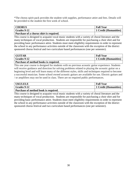\*The chorus spirit pack provides the student with supplies, performance attire and fees. Details will be provided to the student the first week of school.

| <b>CHORUS</b>                                   | <b>Full Year</b>      |
|-------------------------------------------------|-----------------------|
| <b>Grades 9-12</b>                              | 1 Credit (Humanities) |
| $\mathbf{D}$ ushee of a shaws shirt is required |                       |

**Purchase of a chorus shirt is required.**

This course is designed to acquaint vocal music students with a variety of choral literature and the many techniques of vocal production. Students are responsible for purchasing a choir shirt and for providing basic performance attire. Students must meet eligibility requirements in order to represent the school in any performance activities outside of the classroom with the exception of the district sponsored chorus festival and two curriculum based performances (one per semester).

| <b>GUITAR</b>                                | <b>Full Year</b>      |
|----------------------------------------------|-----------------------|
| <b>Grades 9-12</b>                           | 1 Credit (Humanities) |
| <b>Purchase of method books is required.</b> |                       |

This one year course is designed for students with no previous acoustic guitar experience. Students will receive guidance and direction for solving problems related to playing the acoustic guitar on a beginning level and will learn many of the different styles, skills and techniques required to become a successful musician. Some school owned acoustic guitars are available for use. Electric guitars and / or amplifiers may not be used in class. There are no required public performances.

| <b>UKULELE</b>                       | <b>Full Year</b>      |
|--------------------------------------|-----------------------|
| Grades 9-12                          | 1 Credit (Humanities) |
| Purchase of method book is required. |                       |

<span id="page-29-0"></span>This course is designed to acquaint vocal music students with a variety of choral literature and the many techniques of vocal production. Students are responsible for purchasing a choir shirt and for providing basic performance attire. Students must meet eligibility requirements in order to represent the school in any performance activities outside of the classroom with the exception of the district sponsored chorus festival and two curriculum based performances (one per semester).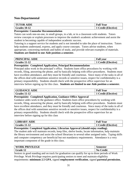#### **Non-Departmental**

| <b>TUTOR AIDE</b>   | <b>Full Year</b>    |
|---------------------|---------------------|
| $\mid$ Grades 10-12 | 1 Credit (Elective) |

#### **Prerequisite: Counselor Recommendation**

Tutors can work one-on-one, in small groups, in a lab, or in a classroom with students. Tutors review concepts or explain processes to improve the student's academic achievement and assist the student in becoming capable of independent academic success.

Tutoring is a support service for students and is not intended to take the place of instruction. Tutors help students understand, express, and apply course concepts. Tutors advise students, when appropriate, concerning methods and habits of study, and provide relevant examples of materials. **Students are limited to one Aide position a semester.**

| PRINCIPAL AIDE | <b>Full vear</b>         |
|----------------|--------------------------|
| Grades 11-12   | <b>Credit (Elective)</b> |

#### **Prerequisite: Completed Application, Principal Recommendation**

Principal aides work in the principal's office. Students learn office procedures by working with records, filing, answering the phone, and by basically helping with office procedures. Students must have excellent attendance, and they must be friendly and courteous. Since many of the tasks in all of the offices deal with sometimes sensitive records or sensitive issues, respect for confidentiality is a primary responsibility. Students should check with the prospective office supervisor for an interview before signing up for this class. **Students are limited to one Aide position a semester.**

| <b>GUIDANCE AIDE</b> | <b>Full Year</b>  |
|----------------------|-------------------|
| <b>Grades 11-12</b>  | Credit (Elective) |

#### **Prerequisite: Completed Application, Guidance Office Approval**

Guidance aides work in the guidance office. Students learn office procedures by working with records, filing, answering the phone, and by basically helping with office procedures. Students must have excellent attendance, and they must be friendly and courteous. Since many of the tasks in all of the offices deal with sometimes sensitive records or sensitive issues, respect for confidentiality is a primary responsibility. Students should check with the prospective office supervisor for an interview before signing up for this class

| <b>BRARY AIDE</b> | <b>Full Year</b>    |
|-------------------|---------------------|
| Grades $11-12$    | 1 Credit (Elective) |

**Prerequisite: Completed Application, Librarian Approval (should enjoy reading).**

The student aide will maintain records, keep files, shelve books, locate information, help maintain the library environment and assist the school librarians in several other assigned tasks. Typing skills and computer competency are beneficial but not mandatory requirements. Attendance is a very important component of the grade in this class.

| ⌒                       |                              |
|-------------------------|------------------------------|
| 1 <sup>2</sup><br>Grade | $\mathbf{v}$<br>`redit<br>◡ェ |

Seniors in good standing and on track for graduation can qualify for up to three periods of Work Privilege. Work Privilege requires participating seniors to meet and maintain eligibility requirements: **minimum 2.5 GPA**, signed **employment verification**, signed **parental permission**,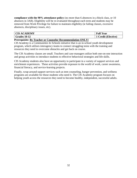**compliance with the 90% attendance policy** (no more than 6 absences in a block class, or 10 absences in 3AB). Eligibility will be re-evaluated throughout each term and students may be removed from Work Privilege for failure to maintain eligibility (ie failing classes, excessive absences, disciplinary issues, etc).

| <b>CIS ACADEMY</b>                                                                                                                      | <b>Full Year</b>         |
|-----------------------------------------------------------------------------------------------------------------------------------------|--------------------------|
| <b>Grades 10-12</b>                                                                                                                     | <b>Credit (Elective)</b> |
| $\overline{\phantom{a}}$<br>$\overline{\phantom{a}}$<br>$\overline{\phantom{a}}$<br>$\frac{1}{2}$<br>__<br>$ -$<br>$\sim$ $\sim$ $\sim$ |                          |

#### **Prerequisite: By Teacher or Counselor Recommendation ONLY!**

*CIS Academy* is a Communities In Schools initiative that is an in-school youth development program, which utilizes interagency teams to connect struggling teens with the training and resources they need to overcome obstacles and get back on course.

The CIS Academy classes are small. Teachers and case managers utilize both one-on-one interaction and group activities to introduce students to effective behavioral strategies and life skills.

CIS Academy students also have an opportunity to participate in a variety of support services and enrichment experiences. These activities provide exposure to the world of work, career awareness, financial literacy, and service-learning projects.

<span id="page-31-0"></span>Finally, wrap-around support services such as teen counseling, hunger prevention, and wellness programs are available for those students who need it. The CIS Academy program focuses on helping youth access the resources they need to become healthy, independent, successful adults.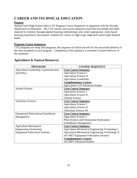## **CAREER AND TECHNICAL EDUCATION**

#### **Purpose**

Spring Creek High School offers CTE Program Course Sequences in alignment with the Nevada Department of Education. The CTE courses and course sequences teach the knowledge and skills required by industry through applied learning methodology and, where appropriate, work-based learning experiences that prepare students for careers in high-wage, high-skill and/or high demand fields.

#### **Program Course Sequences**

CTE programs are setup into programs, the sequence of which provide for the successful delivery of the state standards in each program. Completion of the sequence is essential to ensure delivery of the standards.

| <b>PROGRAM</b>                        | <b>COURSE SEQUENCE</b>                                  |
|---------------------------------------|---------------------------------------------------------|
| Agriculture Leadership, Communication | <b>Core Course Sequence</b>                             |
| and Policy                            | Agriculture Science I                                   |
|                                       | Agriculture Science II                                  |
|                                       | <b>Agriculture Leadership</b>                           |
|                                       | <b>Complementary Course</b>                             |
|                                       | <b>Agriculture LCP Advanced Studies</b>                 |
| <b>Animal Science</b>                 | <b>Core Course Sequence</b>                             |
|                                       | Agriculture Science I                                   |
|                                       | Agriculture Science II                                  |
|                                       | <b>Animal Science</b>                                   |
| <b>Veterinary Science</b>             | <b>Core Course Sequence</b>                             |
|                                       | Agriculture Science I                                   |
|                                       | Agriculture Science II                                  |
|                                       | Veterinary Science III                                  |
| Ornamental Horticulture/Greenhouse    | <b>Core Course Sequence</b>                             |
| Management                            | Agriculture Science I                                   |
|                                       | <b>Plant Science and Ornamental Horticulture</b>        |
|                                       | Greenhouse Management                                   |
| <b>Agriculture Mechanical</b>         | <b>Core Course Sequence</b>                             |
| <b>Engineering Technology</b>         | <b>Agriculture Mechanical Engineering Technology I</b>  |
| <b>Equipment Fabrication Systems</b>  | <b>Agriculture Mechanical Engineering Technology II</b> |
|                                       | <b>AG MET Equipment Fabrication Systems</b>             |
|                                       | <b>Complementary Course</b>                             |
|                                       | <b>AG MET Advanced Studies</b>                          |

#### <span id="page-32-0"></span>**Agriculture & Natural Resources**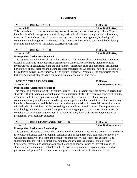#### **COURSES**

| <b>LTURE SCIENCE I</b><br><b>AGRICUL</b> | <b>Full Year</b>         |
|------------------------------------------|--------------------------|
| Grades 9-10                              | <b>Credit (Elective)</b> |

This course is an introduction and survey course of the many career areas in agriculture. Topics include scientific investigations in agriculture, basic animal science, basic plant and soil science, ornamental horticulture, natural resource management, business management, leadership and communication through FFA, and career skills. An essential part of this course will be leadership activities and Supervised Agriculture Experience Programs.

| <b>AGRICULTURE SCIENCE II</b> | <b>Full Year</b>         |
|-------------------------------|--------------------------|
| Grades 10-11                  | <b>Credit (Elective)</b> |

#### **Prerequisite: Agriculture Science I**

This course is a continuation of Agriculture Science I. This course allows intermediate students to expand on skills and knowledge from Agriculture Science I. Areas of study include scientific investigations in agriculture, plant and soil sciences, agriculture sales and marketing, ornamental horticulture, animal sciences and natural resource management. An essential part of this course will be leadership activities and Supervised Agriculture Experience Programs. The appropriate use of technology and industry-standard equipment is an integral part of this course.

| <b>AGRICULTURE LEADERSHIP</b> | <b>Full Year</b>      |
|-------------------------------|-----------------------|
| $\vert$ Grades 11-12          | 1 Credit (Humanities) |

#### **Prerequisite: Agriculture Science II**

This course is a continuation of Agriculture Science II. This program provides advanced agriculture students with instruction on leadership and communication skills with a focus on opportunities in the agriculture industries. Topics will include communication research, verbal and written communications, journalism, mass media, agriculture policy and human relations. Other topics may include problem solving and decision making and teamwork skills. An essential part of this course will be leadership activities and Supervised Agriculture Experience Programs. The appropriate use of technology and industry-standard equipment is an integral part of this course. Upon successful completion of this course, students will have acquired entry-level skills for employment and be prepared for postsecondary education.

| <b>AGRICULTURE LCP ADVANCED STUDIES</b> | <b>Full Year</b>      |
|-----------------------------------------|-----------------------|
| Grade 12                                | 1 Credit (Humanities) |

#### **Prerequisite: Agriculture Leadership**

This course is offered to students who have achieved all content standards in a program whose desire is to pursue advanced study through investigation and in-depth research. Students are expected to work independently or in a team and consult with their supervising teacher for guidance. The supervising teacher will give directions, monitor, and evaluate the students' topic of study. Coursework may include various work-based learning experiences such as internships and job shadowing, involvement in a school-based enterprise, completion of a capstone project, and/or portfolio development. This course may be repeated for additional instruction and credit.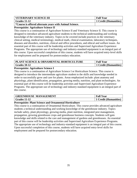| VETERINARY SCIENCE III                                                  | <b>Full Year</b>      |
|-------------------------------------------------------------------------|-----------------------|
| $\sqrt{Grades}$ 11-12                                                   | 1 Credit (Humanities) |
| <b>EXECUTE:</b> *Course is offered alternate years with Animal Science. |                       |

#### **Prerequisite: Agriculture Science II**

This course is a continuation of Agriculture Science II and Veterinary Science II. This course is designed to introduce advanced agriculture students to the technical understanding and working knowledge of the veterinary industry. Topics to be covered include practices in the veterinary clinical setting, medical terminology, medical math, clinical examination, laboratory techniques, diseases and disorders, nutrition, clinical and office procedures, and ethical and welfare issues. An essential part of this course will be leadership activities and Supervised Agriculture Experience Programs. The appropriate use of technology and industry-standard equipment is an integral part of this course. Upon successful completion of this course, students will have acquired entry-level skills for employment and be prepared for postsecondary education.

| <b>PLANT SCIENCE &amp; ORNAMENTAL HORTICULTURE</b> | <b>Full Year</b>      |
|----------------------------------------------------|-----------------------|
| $\vert$ Grades 10-12                               | 1 Credit (Humanities) |

#### **Prerequisite: Agriculture Science I**

This course is a continuation of Agriculture Science I or Horticulture Science. This course is designed to introduce the intermediate agriculture student to the skills and knowledge needed in order to successfully grow and care for plants. Areas emphasized include: plant anatomy and physiology, plant identification, propagation, growing media, nutrition, and plant technologies. An essential part of this course will be leadership activities and Supervised Agriculture Experience Programs. The appropriate use of technology and industry-standard equipment is an integral part of this course.

| <b>GREENHOUSE MANAGEMENT</b> | <b>Full Year</b>      |
|------------------------------|-----------------------|
| Grades 11-12                 | 1 Credit (Humanities) |

#### **Prerequisite: Plant Science and Ornamental Horticulture**

This course is a continuation of Ornamental Horticulture. This course provides advanced agriculture students a technical understanding and working knowledge of the greenhouse industry. Topics include safety, plant physiology, growing media, plant nutrition, integrated pest management, propagation, growing greenhouse crops and greenhouse business concepts. Students will gain knowledge and skills related to the care and management of gardens and greenhouses. An essential part of this course will be leadership activities and Supervised Agriculture Experience Programs. The appropriate use of technology and industry-standard equipment is an integral part of this course. Upon successful completion of this course, students will have acquired entry-level skills for employment and be prepared for postsecondary education.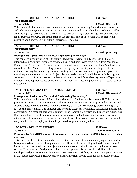| <b>AGRICULTURE MECHANICAL ENGINEERING</b>                                                          | <b>Full Year</b>    |
|----------------------------------------------------------------------------------------------------|---------------------|
| <b>TECHNOLOGY I</b>                                                                                |                     |
| Grades 9-12                                                                                        | 1 Credit (Elective) |
| This course will introduce students into the foundation skills necessary for serioulture mechanics |                     |

This course will introduce students into the foundation skills necessary for agriculture mechanics and industry employment. Areas of study may include general shop safety, basic welding shielded arc welding, oxy acetylene cutting, electrical residential wiring, water management and irrigation, land surveying and GPS, and small engines. An essential part of this course will be leadership activities and Supervised Agriculture Experience Programs.

| <b>AGRICULTURE MECHANICAL ENGINEERING</b> | <b>Full Year</b>    |
|-------------------------------------------|---------------------|
| <b>TECHNOLOGY II</b>                      |                     |
| Grades 10-12                              | 1 Credit (Elective) |

#### **Prerequisite: Agriculture Mechanical Engineering Technology I**

This course is a continuation of Agriculture Mechanical Engineering Technology I. It allows intermediate agriculture students to expand on skills and knowledge from Agriculture Mechanical Engineering Technology I. Areas of study may include general shop safety, welding Shielded metal arc welding, Gas Metal Arc welding, plasma cutting, oxy fuel cutting and welding, electrical residential wiring, hydraulics, agricultural drafting and construction, small engines and power, and machinery maintenance and repair. Project planning and construction will be part of this program. An essential part of this course will be leadership activities and Supervised Agriculture Experience Programs. The appropriate use of technology and industry-standard equipment is an integral part of this course.

| <b>AG MET EQUIPMENT FABRICATION SYSTEMS</b> | <b>Full Year</b>      |
|---------------------------------------------|-----------------------|
| $\vert$ Grades 11-12                        | 1 Credit (Humanities) |

#### **Prerequisite: Agriculture Mechanical Engineering Technology II**

This course is a continuation of Agriculture Mechanical Engineering Technology II. This course provides advanced agriculture students with instructions in advanced techniques and processes such as shop safety, welding Shielded metal arc welding, Gas Metal Arc welding, plasma cutting, oxy fuel cutting and welding, Gas Tungsten Arc Welding electrical, hydraulics, agricultural drafting and construction. An essential part of this course will be leadership activities and Supervised Agriculture Experience Programs. The appropriate use of technology and industry-standard equipment is an integral part of this course. Upon successful completion of this course, students will have acquired entry-level skills for employment and be prepared for postsecondary education.

| <b>AG MET ADVANCED STUDIES</b>                                                                          | <b>Full Year</b>                   |
|---------------------------------------------------------------------------------------------------------|------------------------------------|
| <b>Grade 12</b>                                                                                         | <sup>1</sup> 1 Credit (Humanities) |
| <b>Dranaguisita:</b> $\Lambda$ C MET Equipment Febrication Systems: enrollment ONI V by written toogher |                                    |

#### **Prerequisite: AG MET Equipment Fabrication Systems; enrollment ONLY by written teacher approval**

This course is offered to students who have achieved all content standards in a program whose desire is to pursue advanced study through practical applications in the welding and agriculture mechanics industry. Major focus will be on project planning and construction in the welding industry. Areas such as Hydraulics and fluid power will also be incorporated. Professional portfolios will be developed and prepare students for career success (resume/portfolios). Students anticipating a career in the mechanical/welding field/Diesel/electrical/millwright should consider this capstone course.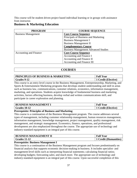This course will be student driven project based individual learning or in groups with assistance from instructor.

#### <span id="page-36-0"></span>**Business & Marketing Education**

| <b>PROGRAM</b>             | <b>COURSE SEQUENCE</b>                      |
|----------------------------|---------------------------------------------|
| <b>Business Management</b> | <b>Core Course Sequence</b>                 |
|                            | Principals of Business and Marketing        |
|                            | <b>Business Management I</b>                |
|                            | <b>Business Management II</b>               |
|                            | <b>Complementary Course</b>                 |
|                            | <b>Business Management Advanced Studies</b> |
| Accounting and Finance     | <b>Core Course Sequence</b>                 |
|                            | Accounting and Finance I                    |
|                            | Accounting and Finance II                   |
|                            | Accounting and Finance III                  |

#### **COURSES**

| <b>PRINCIPLES OF BUSINESS &amp; MARKETING</b> | <b>Full Year</b>         |
|-----------------------------------------------|--------------------------|
| Grades 9-12                                   | <b>Credit (Elective)</b> |

This course is an entry-level course in the Business Management, Entrepreneurship, Marketing, and Sports & Entertainment Marketing programs that develops student understanding and skill in areas such as business law, communications, customer relations, economics, information management, marketing, and operations. Students acquire knowledge of fundamental business and marketing activities, factors affecting business, develop verbal and written communications skill, and participate in career exploration and planning.

| <b>BUSINESS MANAGEMENT I</b> | <b>Full Year</b>         |
|------------------------------|--------------------------|
| Grades 10-12                 | <b>Credit (Elective)</b> |

#### **Prerequisite: Principles of Business and Marketing**

This course is a continuation of the Business Management program. The course addresses several types of management, including customer relationship management, human resources management, information management, knowledge management, project management, quality management, risk management, and strategic management. Economics, finance, operations, and professional development are also emphasized throughout the course. The appropriate use of technology and industry-standard equipment is an integral part of this course.

| <b>BUSINESS MANAGEMENT II</b> | <b>Full Year</b>           |
|-------------------------------|----------------------------|
| Grades 11-12                  | <b>Credit (Humanities)</b> |

#### **Prerequisite: Business Management I**

This course is a continuation of the Business Management program and focuses predominantly on financial analysis that supports economic decision-making in business. It includes specialist- and management-level skills such as interpreting financial statements; calculating financial ratios; developing budgets; forecasting sales; and much more. The appropriate use of technology and industry-standard equipment is an integral part of this course. Upon successful completion of this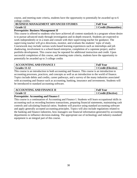course, and meeting state criteria, students have the opportunity to potentially be awarded up to 6 college credits.

| <b>BUSINESS MANAGEMENT ADVANCED STUDIES</b> | <b>Full Year</b>      |
|---------------------------------------------|-----------------------|
| Grade 12                                    | 1 Credit (Humanities) |

#### **Prerequisite: Business Management II**

This course is offered to students who have achieved all content standards in a program whose desire is to pursue advanced study through investigation and in-depth research. Students are expected to work independently or in a team and consult with their supervising teacher for guidance. The supervising teacher will give directions, monitor, and evaluate the students' topic of study. Coursework may include various work-based learning experiences such as internships and job shadowing, involvement in a school-based enterprise, completion of a capstone project, and/or portfolio development. This course may be repeated for additional instruction and credit. Upon successful completion of this course, and meeting state criteria, students have the opportunity to potentially be awarded up to 3 college credits

| <b>ACCOUNTING AND FINANCE I</b> | <b>Full Year</b>    |
|---------------------------------|---------------------|
| <b>Grades 11-12</b>             | 1 Credit (Elective) |

This course is an introduction to both accounting and finance. This course is an introduction to accounting processes, practices, and concepts as well as an introduction to the world of finance. Topics include debits and credits, career pathways, and a survey of the many industries associated with accounting and finance such as accounting, banking, insurance and investments. Students will be introduced to standard accounting software.

| <b>ACCOUNTING AND FINANCE II</b> | <b>Full Year</b>         |
|----------------------------------|--------------------------|
| <b>Grade 12</b>                  | <b>Tredit (Elective)</b> |

#### **Prerequisite: Accounting and Finance I**

<span id="page-37-0"></span>This course is a continuation of Accounting and Finance I. Students will learn occupational skills in accounting such as recording business transactions, preparing financial statements, maintaining cash controls and calculating financial ratios. Students will practice using standard accounting software and apply generally accepted accounting principles. Topics will also include regulations related to the banking and finance industries, how managers use financial information generated by accounting departments to influence decision-making. The appropriate use of technology and industry-standard equipment is an integral part of this course.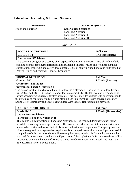#### **Education, Hospitality, & Human Services**

| <b>PROGRAM</b>             | <b>COURSE SEQUENCE</b>      |
|----------------------------|-----------------------------|
| <b>Foods and Nutrition</b> | <b>Core Course Sequence</b> |
|                            | Foods and Nutrition I       |
|                            | Foods and Nutrition II      |
|                            | Foods and Nutrition III     |

#### **COURSES**

| <b>FOODS &amp; NUTRITION I</b> | <b>Full Year</b>    |
|--------------------------------|---------------------|
| <b>GRADE 9-12</b>              | 1 Credit (Elective) |
| Course fees: \$25 lab fee      |                     |

This course is designed as a survey of all aspects of Consumer Sciences. Areas of study include building positive employment relationships, managing finances, health and wellness, clothing construction, leadership and career development. Units of study include Foods and Nutrition, Flat Pattern Design and Personal Financial Economics.

| <b>FOODS &amp; NUTRITION II</b> | <b>Full Year</b>    |
|---------------------------------|---------------------|
| Grades 10-12                    | 1 Credit (Elective) |
| Course fees: \$25 lab fee       |                     |

#### **Prerequisite: Foods & Nutrition I**

This class is for students who would like to explore the profession of teaching. for 6 College Credits: ECE 250 (3) and BUS 110 Human Relations for Employment (3). The latter course is required of all Nevada University graduates, regardless of major. This class provides students with an introduction to the principles of education. Study includes planning and implementing lessons at Sage Elementary, Spring Creek Elementary and Great Basin College Care Center. Transportation is provided.

| <b>FOODS &amp; NUTRITION III</b> | <b>Full Year</b>      |
|----------------------------------|-----------------------|
| <b>Grade 11-12</b>               | 1 Credit (Humanities) |
| Course fees: \$25 lab fee        |                       |

#### **Prerequisite: Foods & Nutrition II**

This course is a continuation of Foods and Nutrition II. Five required demonstrations will be scheduled revolving around specific units. This course provides intermediate students with more advanced activities to develop their skills in food selection and preparation. The appropriate use of technology and industry-standard equipment is an integral part of this course. Upon successful completion of this course, students will have acquired entry-level skills for employment and be prepared for post-secondary education. Upon successful completion of this course students will be required to complete the State of Nevada's Career Readiness Exam, and a Foods and Nutrition Subject Area State of Nevada Exam.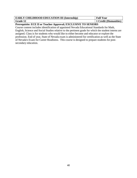| <b>EARLY CHILDHOOD EDUCATION III (Internship)</b> | <b>Full Year</b>      |
|---------------------------------------------------|-----------------------|
| <b>Grade 12</b>                                   | 1 Credit (Humanities) |

#### **Prerequisite: ECE II or Teacher Approval; EXCLUSIVE TO SENIORS**

<span id="page-39-0"></span>Course content includes identification of appointed Nevada Educational Standards for Math, English, Science and Social Studies relative to the pertinent grade for which the student interns are assigned. Class is for students who would like to either become and educator or explore the profession. End of year, State of Nevada exam is administered for certification as well as the State of Nevada's Exam for Career Readiness. This course is designed to prepare students for postsecondary education.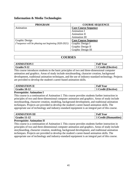#### **Information & Media Technologies**

| <b>PROGRAM</b>                                      | <b>COURSE SEQUENCE</b>      |
|-----------------------------------------------------|-----------------------------|
| Animation                                           | <b>Core Course Sequence</b> |
|                                                     | <b>Animation I</b>          |
|                                                     | Animation II                |
|                                                     | Animation III               |
| Graphic Design                                      | <b>Core Course Sequence</b> |
| (*sequence will be phasing out beginning 2020-2021) | Graphic Design I            |
|                                                     | Graphic Design II           |
|                                                     | Graphic Design III          |

#### **COURSES**

| <b>NIMATION I</b> | <b>Full Year</b>         |
|-------------------|--------------------------|
| Grades 9-12       | <b>Tredit (Elective)</b> |

This course introduces students to the basic principles of two and three-dimensional computer animation and graphics. Areas of study include storyboarding, character creation, background development, traditional animation techniques, and the use of industry-standard technology. Projects are provided to develop the student's career-based animation skills.

| <b>TION II</b><br>IMA | <b>Full Year</b>                 |
|-----------------------|----------------------------------|
| Grades 10-12          | edit<br><b>Elective)</b><br>`r^o |

#### **Prerequisite: Animation I**

This course is a continuation of Animation I. This course provides students further instruction in principles of two and three-dimensional computer animation and graphics. Areas of study include storyboarding, character creation, modeling, background development, and traditional animation techniques. Projects are provided to develop the student's career-based animation skills. The appropriate use of technology and industry-standard equipment is an integral part of this course.

| <b>ANIMATION III</b><br>Aľ | <b>Full Year</b>    |
|----------------------------|---------------------|
| <b>Grades 11-12</b>        | Credit (Humanities) |

#### **Prerequisite: Animation II**

This course is a continuation of Animation I. This course provides students further instruction in principles of two and three-dimensional computer animation and graphics. Areas of study include storyboarding, character creation, modeling, background development, and traditional animation techniques. Projects are provided to develop the student's career-based animation skills. The appropriate use of technology and industry-standard equipment is an integral part of this course.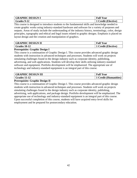| <b>GRAPHIC DESIGN J</b> | <b>Full Year</b>         |
|-------------------------|--------------------------|
| Grades 9-12             | <b>Tredit (Elective)</b> |

This course is designed to introduce students to the fundamental skills and knowledge needed to create graphic works using industry-standard hardware and software for a variety of purposes and outputs. Areas of study include the understanding of the industry history, terminology, color, design principles, typography and ethical and legal issues related to graphic designs. Emphasis is placed on layout design and the creation and manipulation of graphics.

| <b>GRAPHIC DESIGN II</b> | <b>! Year</b><br><b>Full</b>                        |
|--------------------------|-----------------------------------------------------|
| Grades 10-12             | $C_{\text{radif}}$ .<br>(Elective)<br><b>U</b> ltun |

#### **Prerequisite: Graphic Design I**

This course is a continuation of Graphic Design I. This course provides advanced graphic design students with instruction in advanced techniques and processes. Students will work on projects simulating challenges found in the design industry such as corporate identity, publishing, advertising, and web applications. Students will develop their skills utilizing industry-standard software and equipment. Portfolio development will be emphasized. The appropriate use of technology and industry-standard equipment is an integral part of this course.

| <b>GRAPHIC DESIGN III</b> | <b>Full Year</b>      |
|---------------------------|-----------------------|
| Grades 11-12              | 1 Credit (Humanities) |

#### **Prerequisite: Graphic Design II**

<span id="page-41-0"></span>This course is a continuation of Graphic Design I. This course provides advanced graphic design students with instruction in advanced techniques and processes. Students will work on projects simulating challenges found in the design industry such as corporate identity, publishing, advertising, web applications, and package design. Portfolio development will be emphasized. The appropriate use of technology and industry-standard equipment is an integral part of this course. Upon successful completion of this course, students will have acquired entry-level skills for employment and be prepared for postsecondary education.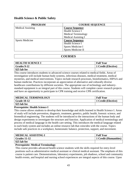#### <span id="page-42-0"></span>**Health Science & Public Safety**

| <b>PROGRAM</b>           | <b>COURSE SEQUENCE</b>     |
|--------------------------|----------------------------|
| <b>Medical Assisting</b> | <b>Course Sequence</b>     |
|                          | Health Science I           |
|                          | <b>Medical Terminology</b> |
|                          | Medical Assisting I        |
| <b>Sports Medicine</b>   | <b>Course Sequence</b>     |
|                          | Health Science I           |
|                          | Sports Medicine I          |
|                          | Sports Medicine II         |

#### **COURSES**

| <b>HEALTH SCIENCE I</b> | <b>Full Year</b>    |
|-------------------------|---------------------|
| Grades 9-12             | 1 Credit (Elective) |
| $\frac{1}{25}$ lab fee  |                     |

This course introduces students to advanced science courses related to medical fields. Areas of investigation will include human body systems, infectious diseases, medical treatment, medical mysteries, and medical interventions. Topics include research processes, bioinformatics, HIPAA and human medicine. Practices incorporate an appreciation of alternative and culturally diverse healthcare contributions by different societies. The appropriate use of technology and industrystandard equipment is an integral part of this course. Students will complete career research projects and have an opportunity to participate in CPR training and receive CPR certification.

| <b>MEDICAL TERMINOLOGY</b> | <b>Full Year</b>    |
|----------------------------|---------------------|
| Grade 10-12                | 1 Credit (Elective) |
| \$25 lab fee               |                     |

#### **Prerequisite: Health Science I**

This course allows students to develop their knowledge and skills learned in Health Science I. Areas of study will include prevention, diagnosis, treatment, genetics, public health, forensic science, and biomedical engineering. The students will be introduced to the interactions of the human body and design experiments to investigate the structure and function. Application of medical terminology and process of medical language in the health care setting. This introduces the medical language related to each body system and includes an online resource lab that coincides with the course. Topics include safe practices in a workplace, homeostatic balance, protection, support, and movement.

| MEDICAL ASSISTING I    | <b>Full Year</b>      |
|------------------------|-----------------------|
| $\sqrt{Grades}$ 11-12  | 1 Credit (Humanities) |
| $\frac{1}{25}$ lab fee |                       |

#### **Prerequisite: Medical Terminology**

This course provides advanced health science students with the skills required for entry-level positions such as administrative medical assistant or clinical medical assistant. The emphasis of this course is patient care. Demonstrations, laboratory experiments, job shadows, school and community health events, and hospital and nursing school experiences are integral aspects of this course. Upon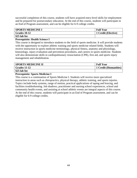successful completion of this course, students will have acquired entry-level skills for employment and be prepared for postsecondary education. At the end of this course, students will participate in an End of Program assessment, and can be eligible for 6-9 college credits.

| <b>SPORTS MEDICINE I</b> | <b>Full Year</b>    |
|--------------------------|---------------------|
| <b>Grades 10-12</b>      | 1 Credit (Elective) |
| \$25 lab fee             |                     |

#### **Prerequisite: Health Science I**

This course is designed to introduce students to the field of sports medicine. It will provide students with the opportunity to explore athletic training and sports medicine related fields. Students will receive instruction in sports medicine terminology, physical fitness, anatomy and physiology, kinesiology, injury evaluation and prevention procedures, and careers in sports medicine. Students will also demonstrate skills in cardiopulmonary resuscitation (CPR), first aid, and sports injury management and rehabilitation.

| <b>SPORTS MEDICINE II</b> | <b>Full Year</b>      |
|---------------------------|-----------------------|
| Grades 11-12              | 1 Credit (Humanities) |
| \$25 lab fee              |                       |

#### **Prerequisite: Sports Medicine I**

<span id="page-43-0"></span>This course is a continuation of Sports Medicine I. Students will receive more specialized instruction in areas such as chiropractics, physical therapy, athletic training, and sports injuries. Topics include body systems, range of motion, practical applications of taping and bracing, and facilities troubleshooting. Job shadows, practitioner and nursing school experiences, school and community health events, and assisting at school athletic events are integral aspects of this course. At the end of this course, students will participate in an End of Program assessment, and can be eligible for 6-9 college credits.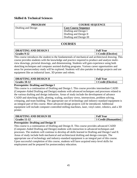#### **Skilled & Technical Sciences**

| <b>PROGRAM</b>      | <b>COURSE SEQUENCE</b>      |
|---------------------|-----------------------------|
| Drafting and Design | <b>Core Course Sequence</b> |
|                     | Drafting and Design I       |
|                     | Drafting and Design II      |
|                     | Drafting and Design III     |

#### **COURSES**

| <b>DRAFTING AND DESIGN I</b> | <b>Full Year</b>  |
|------------------------------|-------------------|
| Grades 9-12                  | Credit (Elective) |

This course introduces the student to the fundamentals of mechanical and architectural drawing. This course provides students with the knowledge and practice required to produce and analyze multiview drawings, pictorial drawings, and dimensioning. Students will gain experience using both sketching techniques and computer assisted drafting programs. Various career opportunities and areas for postsecondary study will be explored. Students will also partake in design projects and use equipment like an industrial laser, 3D printer and robots.

| <b>DRAFTING AND DESIGN II</b> | <b>Full Year</b>  |
|-------------------------------|-------------------|
| Grades 10-12                  | Credit (Elective) |

#### **Prerequisite: Drafting and Design I**

This course is a continuation of Drafting and Design I. This course provides intermediate CADD (Computer-Aided Drafting and Design) students with advanced techniques and processes related to the various drafting and design industries. Areas of study include the development of advance CADD and sketching skills, plotting, scaling, auxiliary views, intersections, problem solving, critiquing, and team building. The appropriate use of technology and industry-standard equipment is an integral part of this course. More advanced design projects will be introduced. Additional equipment will include computer-controlled milling machines, laser, vinyl cutter, robotics, and a 3D printer.

| <b>DRAFTING AND DESIGN III</b> | <b>Full Year</b>                   |
|--------------------------------|------------------------------------|
| $\mid$ Grades 11-12            | <sup>1</sup> 1 Credit (Humanities) |

#### **Prerequisite: Drafting and Design II**

This course is a continuation of Drafting and Design II. This course provides advanced CADD (Computer-Aided Drafting and Design) students with instruction in advanced techniques and processes. The students will continue to develop all skills learned in Drafting and Design I and II. Areas of study include both mechanical and architectural drafting and design concepts. The appropriate use of technology and industry-standard equipment is an integral part of this course. Upon successful completion of this course, students will have acquired entry-level skills for employment and be prepared for postsecondary education.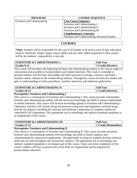| <b>PROGRAM</b>               | <b>COURSE SEQUENCE</b>                        |
|------------------------------|-----------------------------------------------|
| Furniture and Cabinet making | <b>Core Course Sequence</b>                   |
|                              | Furniture and Cabinetmaking I                 |
|                              | Furniture and Cabinetmaking II                |
|                              | Furniture and Cabinetmaking III               |
|                              | <b>Complementary Course(s)</b>                |
|                              | Furniture and Cabinet making Advanced Studies |

#### **COURSES**

**\*Note:** Students will be responsible for the cost of all lumber to be used in each of their individual projects. Hardware, hinges, knobs, drawer glides and any other added equipment to their project will be the students' responsibility to provide.

| FURNITURE & CABINETMAKING I | <b>Full Year</b>    |
|-----------------------------|---------------------|
| Grades 9-12                 | 1 Credit (Elective) |

This course will introduce the beginning furniture and cabinetmaking student to the various stages of construction and assembly of wood products and related materials. This course is intended to provide students with the basic knowledge and skills necessary to design, construct, and finish furniture and/or cabinets in the woodworking industry. Through the course activities the student will gain an understanding of safety procedures, machine operation, and industrial applications.

| <b>FURNITURE &amp; CABINETMAKING II</b> | <b>Full Year</b>         |
|-----------------------------------------|--------------------------|
| Grades 10-12                            | <b>Credit (Elective)</b> |

#### **Prerequisite: Furniture and Cabinetmaking I**

This course is a continuation of Furniture and Cabinetmaking I. This course provides intermediate furniture and cabinetmaking student with the necessary knowledge and skills to pursue employment in related industries. This course will increase knowledge gained in Furniture and Cabinetmaking I. Laboratory activities will include advanced processes using tools and equipment currently being used by the industry, including the software and hardware components of computer numericalcontrolled (CNC) equipment. The appropriate use of technology and industry-standard equipment is an integral part of this course.

| <b>  FURNITURE &amp; CABINETMAKING III</b> | <b>Full Year</b>      |
|--------------------------------------------|-----------------------|
| $\vert$ Grades 11-12                       | 1 Credit (Humanities) |

#### **Prerequisite: Furniture and Cabinetmaking II**

This course is a continuation of Furniture and Cabinetmaking II. This course provides advanced furniture and cabinetmaking students with knowledge and skills in finish carpentry and cabinetmaking for construction applications. Through hands-on projects, students develop technical skills that are used throughout the construction industry. The appropriate use of technology and industry-standard equipment is an integral part of this course. Upon successful completion of this course, students will have acquired entry-level skills for employment and be prepared for postsecondary education.